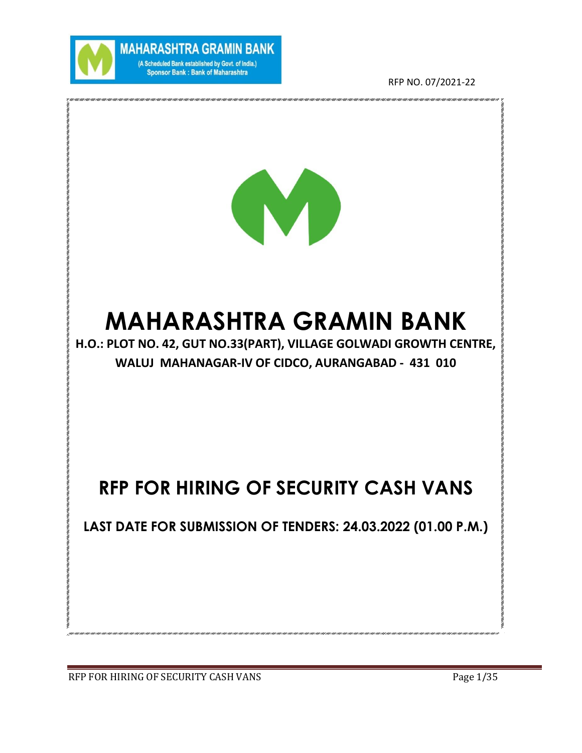

**MAHARASHTRA GRAMIN BANK** (A Scheduled Bank established by Govt. of India.) Sponsor Bank : Bank of Maharashtra

RFP NO. 07/2021-22



# **MAHARASHTRA GRAMIN BANK**

**H.O.: PLOT NO. 42, GUT NO.33(PART), VILLAGE GOLWADI GROWTH CENTRE, WALUJ MAHANAGAR-IV OF CIDCO, AURANGABAD - 431 010**

# **RFP FOR HIRING OF SECURITY CASH VANS**

**LAST DATE FOR SUBMISSION OF TENDERS: 24.03.2022 (01.00 P.M.)** 

.<br>1997 | 1997 | 1997 | 1997 | 1997 | 1997 | 1997 | 1997 | 1997 | 1997 | 1997 | 1997 | 1997 | 1997 | 1997 | 1997 |

RFP FOR HIRING OF SECURITY CASH VANS Page 1/35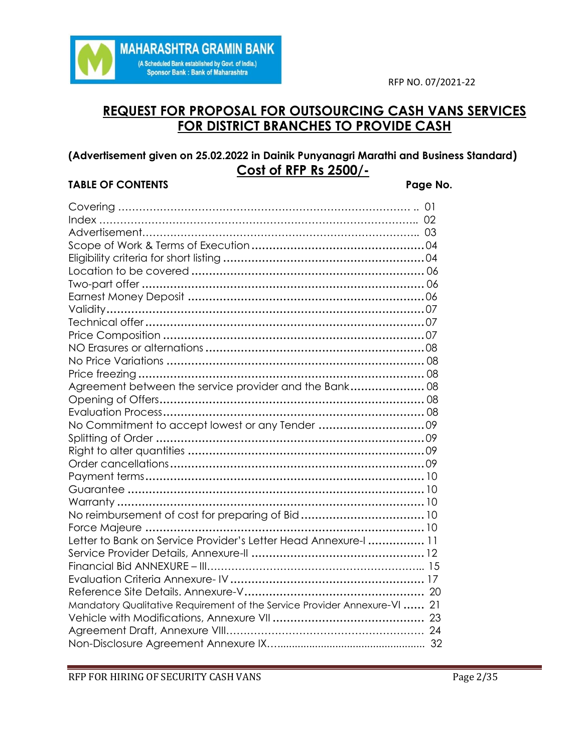

# **REQUEST FOR PROPOSAL FOR OUTSOURCING CASH VANS SERVICES FOR DISTRICT BRANCHES TO PROVIDE CASH**

# **(Advertisement given on 25.02.2022 in Dainik Punyanagri Marathi and Business Standard) Cost of RFP Rs 2500/-**

# **TABLE OF CONTENTS Page No.**

| Agreement between the service provider and the Bank 08                    |  |
|---------------------------------------------------------------------------|--|
|                                                                           |  |
|                                                                           |  |
| No Commitment to accept lowest or any Tender 09                           |  |
|                                                                           |  |
|                                                                           |  |
|                                                                           |  |
|                                                                           |  |
|                                                                           |  |
|                                                                           |  |
|                                                                           |  |
|                                                                           |  |
| Letter to Bank on Service Provider's Letter Head Annexure-I  11           |  |
|                                                                           |  |
|                                                                           |  |
|                                                                           |  |
|                                                                           |  |
| Mandatory Qualitative Requirement of the Service Provider Annexure-VI  21 |  |
|                                                                           |  |
|                                                                           |  |
|                                                                           |  |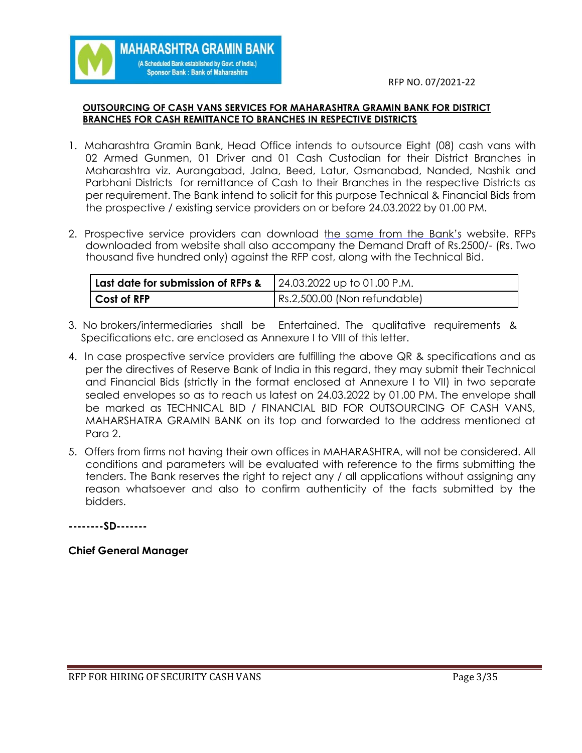#### **OUTSOURCING OF CASH VANS SERVICES FOR MAHARASHTRA GRAMIN BANK FOR DISTRICT BRANCHES FOR CASH REMITTANCE TO BRANCHES IN RESPECTIVE DISTRICTS**

**MAHARASHTRA GRAMIN BANK** (A Scheduled Bank established by Govt. of India.) **Sponsor Bank: Bank of Maharashtra** 

- 1. Maharashtra Gramin Bank, Head Office intends to outsource Eight (08) cash vans with 02 Armed Gunmen, 01 Driver and 01 Cash Custodian for their District Branches in Maharashtra viz. Aurangabad, Jalna, Beed, Latur, Osmanabad, Nanded, Nashik and Parbhani Districts for remittance of Cash to their Branches in the respective Districts as per requirement. The Bank intend to solicit for this purpose Technical & Financial Bids from the prospective / existing service providers on or before 24.03.2022 by 01.00 PM.
- 2. Prospective service providers can download the same from the Bank's website. RFPs downloaded from website shall also accompany the Demand Draft of Rs.2500/- (Rs. Two thousand five hundred only) against the RFP cost, along with the Technical Bid.

| Last date for submission of RFPs & | 24.03.2022 up to 01.00 P.M.  |
|------------------------------------|------------------------------|
| Cost of RFP                        | Rs.2,500.00 (Non refundable) |

- 3. No brokers/intermediaries shall be Entertained. The qualitative requirements & Specifications etc. are enclosed as Annexure I to VIII of this letter.
- 4. In case prospective service providers are fulfilling the above QR & specifications and as per the directives of Reserve Bank of India in this regard, they may submit their Technical and Financial Bids (strictly in the format enclosed at Annexure I to VII) in two separate sealed envelopes so as to reach us latest on 24.03.2022 by 01.00 PM. The envelope shall be marked as TECHNICAL BID / FINANCIAL BID FOR OUTSOURCING OF CASH VANS, MAHARSHATRA GRAMIN BANK on its top and forwarded to the address mentioned at Para 2.
- 5. Offers from firms not having their own offices in MAHARASHTRA, will not be considered. All conditions and parameters will be evaluated with reference to the firms submitting the tenders. The Bank reserves the right to reject any / all applications without assigning any reason whatsoever and also to confirm authenticity of the facts submitted by the bidders.

**--------SD-------**

#### **Chief General Manager**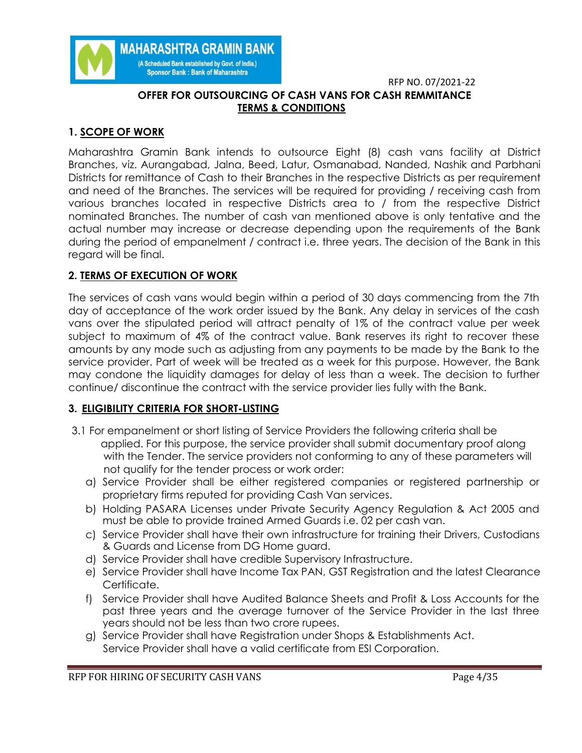

# **OFFER FOR OUTSOURCING OF CASH VANS FOR CASH REMMITANCE TERMS & CONDITIONS**

# **1. SCOPE OF WORK**

Maharashtra Gramin Bank intends to outsource Eight (8) cash vans facility at District Branches, viz. Aurangabad, Jalna, Beed, Latur, Osmanabad, Nanded, Nashik and Parbhani Districts for remittance of Cash to their Branches in the respective Districts as per requirement and need of the Branches. The services will be required for providing / receiving cash from various branches located in respective Districts area to / from the respective District nominated Branches. The number of cash van mentioned above is only tentative and the actual number may increase or decrease depending upon the requirements of the Bank during the period of empanelment / contract i.e. three years. The decision of the Bank in this regard will be final.

# **2. TERMS OF EXECUTION OF WORK**

The services of cash vans would begin within a period of 30 days commencing from the 7th day of acceptance of the work order issued by the Bank. Any delay in services of the cash vans over the stipulated period will attract penalty of 1% of the contract value per week subject to maximum of 4% of the contract value. Bank reserves its right to recover these amounts by any mode such as adjusting from any payments to be made by the Bank to the service provider. Part of week will be treated as a week for this purpose. However, the Bank may condone the liquidity damages for delay of less than a week. The decision to further continue/ discontinue the contract with the service provider lies fully with the Bank.

# **3. ELIGIBILITY CRITERIA FOR SHORT-LISTING**

- 3.1 For empanelment or short listing of Service Providers the following criteria shall be applied. For this purpose, the service provider shall submit documentary proof along with the Tender. The service providers not conforming to any of these parameters will not qualify for the tender process or work order:
	- a) Service Provider shall be either registered companies or registered partnership or proprietary firms reputed for providing Cash Van services.
	- b) Holding PASARA Licenses under Private Security Agency Regulation & Act 2005 and must be able to provide trained Armed Guards i.e. 02 per cash van.
	- c) Service Provider shall have their own infrastructure for training their Drivers, Custodians & Guards and License from DG Home guard.
	- d) Service Provider shall have credible Supervisory Infrastructure.
	- e) Service Provider shall have Income Tax PAN, GST Registration and the latest Clearance Certificate.
	- f) Service Provider shall have Audited Balance Sheets and Profit & Loss Accounts for the past three years and the average turnover of the Service Provider in the last three years should not be less than two crore rupees.
	- g) Service Provider shall have Registration under Shops & Establishments Act. Service Provider shall have a valid certificate from ESI Corporation.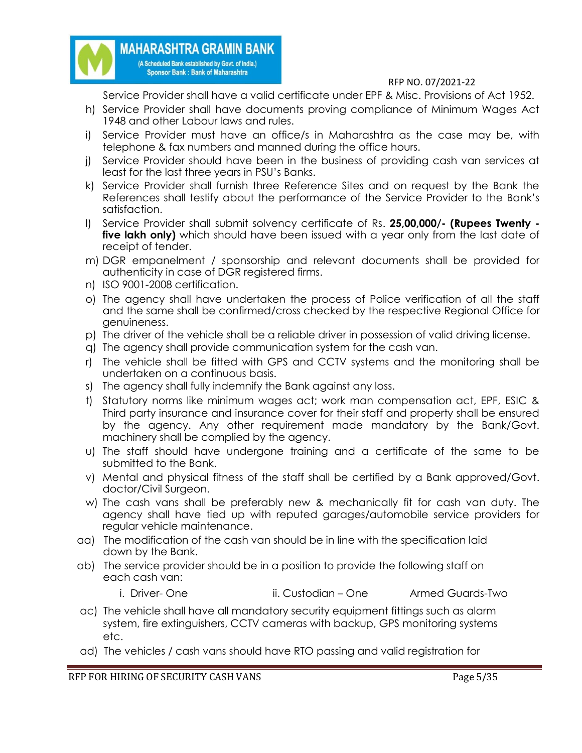

Service Provider shall have a valid certificate under EPF & Misc. Provisions of Act 1952.

- h) Service Provider shall have documents proving compliance of Minimum Wages Act 1948 and other Labour laws and rules.
- i) Service Provider must have an office/s in Maharashtra as the case may be, with telephone & fax numbers and manned during the office hours.
- j) Service Provider should have been in the business of providing cash van services at least for the last three years in PSU's Banks.
- k) Service Provider shall furnish three Reference Sites and on request by the Bank the References shall testify about the performance of the Service Provider to the Bank's satisfaction.
- l) Service Provider shall submit solvency certificate of Rs. **25,00,000/- (Rupees Twenty five lakh only)** which should have been issued with a year only from the last date of receipt of tender.
- m) DGR empanelment / sponsorship and relevant documents shall be provided for authenticity in case of DGR registered firms.
- n) ISO 9001-2008 certification.
- o) The agency shall have undertaken the process of Police verification of all the staff and the same shall be confirmed/cross checked by the respective Regional Office for genuineness.
- p) The driver of the vehicle shall be a reliable driver in possession of valid driving license.
- q) The agency shall provide communication system for the cash van.
- r) The vehicle shall be fitted with GPS and CCTV systems and the monitoring shall be undertaken on a continuous basis.
- s) The agency shall fully indemnify the Bank against any loss.
- t) Statutory norms like minimum wages act; work man compensation act, EPF, ESIC & Third party insurance and insurance cover for their staff and property shall be ensured by the agency. Any other requirement made mandatory by the Bank/Govt. machinery shall be complied by the agency.
- u) The staff should have undergone training and a certificate of the same to be submitted to the Bank.
- v) Mental and physical fitness of the staff shall be certified by a Bank approved/Govt. doctor/Civil Surgeon.
- w) The cash vans shall be preferably new & mechanically fit for cash van duty. The agency shall have tied up with reputed garages/automobile service providers for regular vehicle maintenance.
- aa) The modification of the cash van should be in line with the specification laid down by the Bank.
- ab) The service provider should be in a position to provide the following staff on each cash van:
	- i. Driver- One ii. Custodian One Armed Guards-Two
- ac) The vehicle shall have all mandatory security equipment fittings such as alarm system, fire extinguishers, CCTV cameras with backup, GPS monitoring systems etc.
- ad) The vehicles / cash vans should have RTO passing and valid registration for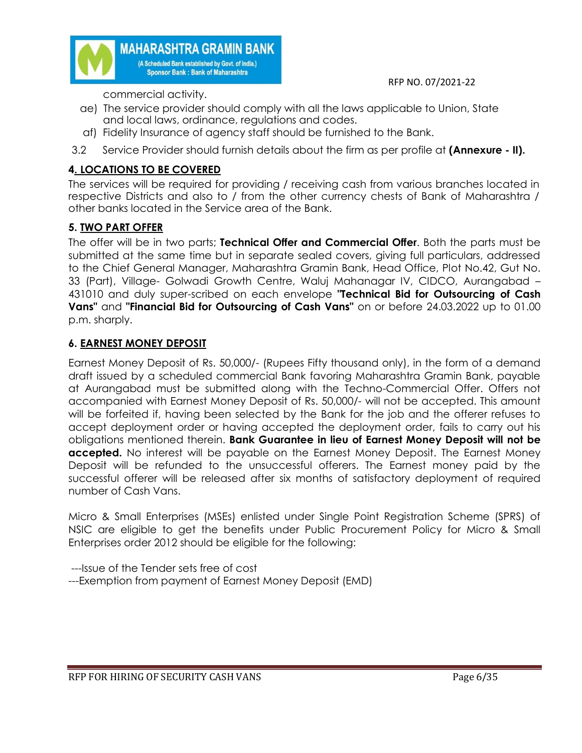

commercial activity.

- ae) The service provider should comply with all the laws applicable to Union, State and local laws, ordinance, regulations and codes.
- af) Fidelity Insurance of agency staff should be furnished to the Bank.
- 3.2 Service Provider should furnish details about the firm as per profile at **(Annexure - II).**

# **4. LOCATIONS TO BE COVERED**

The services will be required for providing / receiving cash from various branches located in respective Districts and also to / from the other currency chests of Bank of Maharashtra / other banks located in the Service area of the Bank.

# **5. TWO PART OFFER**

The offer will be in two parts; **Technical Offer and Commercial Offer**. Both the parts must be submitted at the same time but in separate sealed covers, giving full particulars, addressed to the Chief General Manager, Maharashtra Gramin Bank, Head Office, Plot No.42, Gut No. 33 (Part), Village- Golwadi Growth Centre, Waluj Mahanagar IV, CIDCO, Aurangabad – 431010 and duly super-scribed on each envelope **"Technical Bid for Outsourcing of Cash Vans"** and **"Financial Bid for Outsourcing of Cash Vans"** on or before 24.03.2022 up to 01.00 p.m. sharply.

# **6. EARNEST MONEY DEPOSIT**

Earnest Money Deposit of Rs. 50,000/- (Rupees Fifty thousand only), in the form of a demand draft issued by a scheduled commercial Bank favoring Maharashtra Gramin Bank, payable at Aurangabad must be submitted along with the Techno-Commercial Offer. Offers not accompanied with Earnest Money Deposit of Rs. 50,000/- will not be accepted. This amount will be forfeited if, having been selected by the Bank for the job and the offerer refuses to accept deployment order or having accepted the deployment order, fails to carry out his obligations mentioned therein. **Bank Guarantee in lieu of Earnest Money Deposit will not be accepted.** No interest will be payable on the Earnest Money Deposit. The Earnest Money Deposit will be refunded to the unsuccessful offerers. The Earnest money paid by the successful offerer will be released after six months of satisfactory deployment of required number of Cash Vans.

Micro & Small Enterprises (MSEs) enlisted under Single Point Registration Scheme (SPRS) of NSIC are eligible to get the benefits under Public Procurement Policy for Micro & Small Enterprises order 2012 should be eligible for the following:

---Issue of the Tender sets free of cost ---Exemption from payment of Earnest Money Deposit (EMD)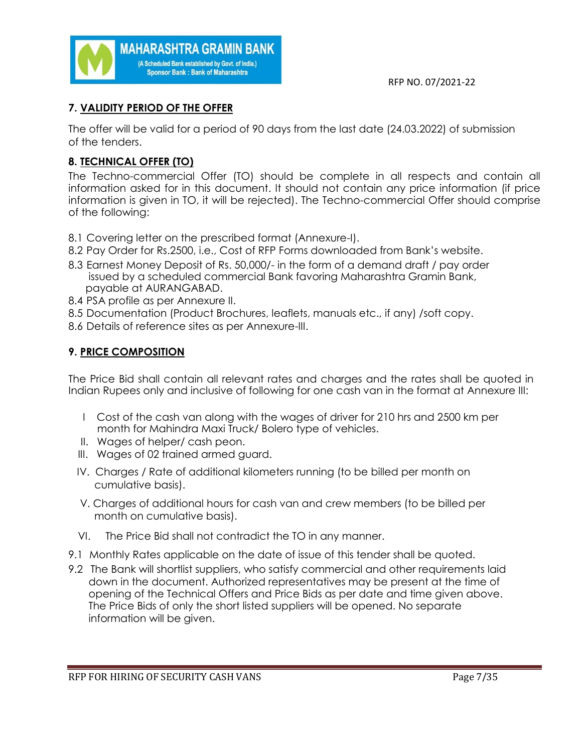

# **7. VALIDITY PERIOD OF THE OFFER**

The offer will be valid for a period of 90 days from the last date (24.03.2022) of submission of the tenders.

# **8. TECHNICAL OFFER (TO)**

The Techno-commercial Offer (TO) should be complete in all respects and contain all information asked for in this document. It should not contain any price information (if price information is given in TO, it will be rejected). The Techno-commercial Offer should comprise of the following:

8.1 Covering letter on the prescribed format (Annexure-I).

**MAHARASHTRA GRAMIN BANK** (A Scheduled Bank established by Govt. of India.) **Sponsor Bank: Bank of Maharashtra** 

- 8.2 Pay Order for Rs.2500, i.e., Cost of RFP Forms downloaded from Bank's website.
- 8.3 Earnest Money Deposit of Rs. 50,000/- in the form of a demand draft / pay order issued by a scheduled commercial Bank favoring Maharashtra Gramin Bank, payable at AURANGABAD.
- 8.4 PSA profile as per Annexure II.
- 8.5 Documentation (Product Brochures, leaflets, manuals etc., if any) /soft copy.
- 8.6 Details of reference sites as per Annexure-III.

# **9. PRICE COMPOSITION**

The Price Bid shall contain all relevant rates and charges and the rates shall be quoted in Indian Rupees only and inclusive of following for one cash van in the format at Annexure III:

- I Cost of the cash van along with the wages of driver for 210 hrs and 2500 km per month for Mahindra Maxi Truck/ Bolero type of vehicles.
- II. Wages of helper/ cash peon.
- III. Wages of 02 trained armed guard.
- IV. Charges / Rate of additional kilometers running (to be billed per month on cumulative basis).
- V. Charges of additional hours for cash van and crew members (to be billed per month on cumulative basis).
- VI. The Price Bid shall not contradict the TO in any manner.
- 9.1 Monthly Rates applicable on the date of issue of this tender shall be quoted.
- 9.2 The Bank will shortlist suppliers, who satisfy commercial and other requirements laid down in the document. Authorized representatives may be present at the time of opening of the Technical Offers and Price Bids as per date and time given above. The Price Bids of only the short listed suppliers will be opened. No separate information will be given.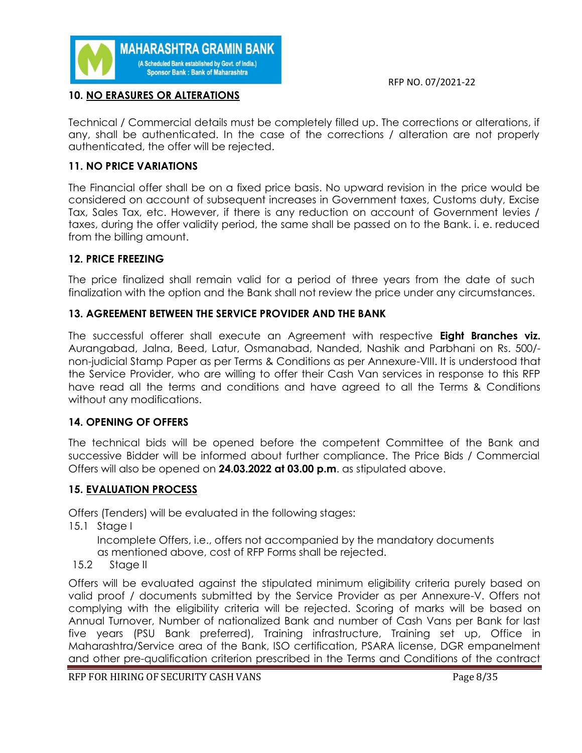

# **10. NO ERASURES OR ALTERATIONS**

Technical / Commercial details must be completely filled up. The corrections or alterations, if any, shall be authenticated. In the case of the corrections / alteration are not properly authenticated, the offer will be rejected.

### **11. NO PRICE VARIATIONS**

The Financial offer shall be on a fixed price basis. No upward revision in the price would be considered on account of subsequent increases in Government taxes, Customs duty, Excise Tax, Sales Tax, etc. However, if there is any reduction on account of Government levies / taxes, during the offer validity period, the same shall be passed on to the Bank. i. e. reduced from the billing amount.

### **12. PRICE FREEZING**

The price finalized shall remain valid for a period of three years from the date of such finalization with the option and the Bank shall not review the price under any circumstances.

# **13. AGREEMENT BETWEEN THE SERVICE PROVIDER AND THE BANK**

The successful offerer shall execute an Agreement with respective **Eight Branches viz.** Aurangabad, Jalna, Beed, Latur, Osmanabad, Nanded, Nashik and Parbhani on Rs. 500/ non-judicial Stamp Paper as per Terms & Conditions as per Annexure-VIII. It is understood that the Service Provider, who are willing to offer their Cash Van services in response to this RFP have read all the terms and conditions and have agreed to all the Terms & Conditions without any modifications.

#### **14. OPENING OF OFFERS**

The technical bids will be opened before the competent Committee of the Bank and successive Bidder will be informed about further compliance. The Price Bids / Commercial Offers will also be opened on **24.03.2022 at 03.00 p.m**. as stipulated above.

#### **15. EVALUATION PROCESS**

Offers (Tenders) will be evaluated in the following stages:

15.1 Stage I

 Incomplete Offers, i.e., offers not accompanied by the mandatory documents as mentioned above, cost of RFP Forms shall be rejected.

15.2 Stage II

Offers will be evaluated against the stipulated minimum eligibility criteria purely based on valid proof / documents submitted by the Service Provider as per Annexure-V. Offers not complying with the eligibility criteria will be rejected. Scoring of marks will be based on Annual Turnover, Number of nationalized Bank and number of Cash Vans per Bank for last five years (PSU Bank preferred), Training infrastructure, Training set up, Office in Maharashtra/Service area of the Bank, ISO certification, PSARA license, DGR empanelment and other pre-qualification criterion prescribed in the Terms and Conditions of the contract

RFP FOR HIRING OF SECURITY CASH VANS Page 8/35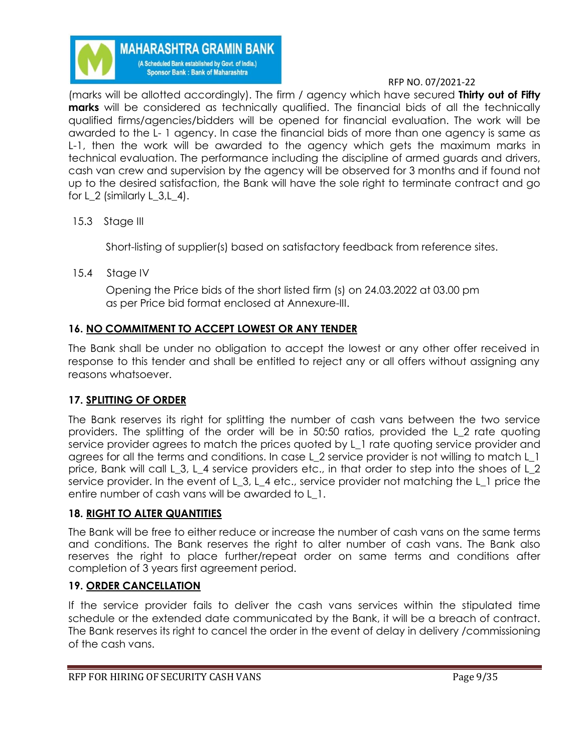

(marks will be allotted accordingly). The firm / agency which have secured **Thirty out of Fifty marks** will be considered as technically qualified. The financial bids of all the technically qualified firms/agencies/bidders will be opened for financial evaluation. The work will be awarded to the L- 1 agency. In case the financial bids of more than one agency is same as L-1, then the work will be awarded to the agency which gets the maximum marks in technical evaluation. The performance including the discipline of armed guards and drivers, cash van crew and supervision by the agency will be observed for 3 months and if found not up to the desired satisfaction, the Bank will have the sole right to terminate contract and go for L\_2 (similarly L\_3,L\_4).

15.3 Stage III

Short-listing of supplier(s) based on satisfactory feedback from reference sites.

15.4 Stage IV

 Opening the Price bids of the short listed firm (s) on 24.03.2022 at 03.00 pm as per Price bid format enclosed at Annexure-III.

# **16. NO COMMITMENT TO ACCEPT LOWEST OR ANY TENDER**

The Bank shall be under no obligation to accept the lowest or any other offer received in response to this tender and shall be entitled to reject any or all offers without assigning any reasons whatsoever.

# **17. SPLITTING OF ORDER**

The Bank reserves its right for splitting the number of cash vans between the two service providers. The splitting of the order will be in 50:50 ratios, provided the L\_2 rate quoting service provider agrees to match the prices quoted by L\_1 rate quoting service provider and agrees for all the terms and conditions. In case L\_2 service provider is not willing to match L\_1 price, Bank will call L\_3, L\_4 service providers etc., in that order to step into the shoes of L\_2 service provider. In the event of L\_3, L\_4 etc., service provider not matching the L\_1 price the entire number of cash vans will be awarded to L\_1.

# **18. RIGHT TO ALTER QUANTITIES**

The Bank will be free to either reduce or increase the number of cash vans on the same terms and conditions. The Bank reserves the right to alter number of cash vans. The Bank also reserves the right to place further/repeat order on same terms and conditions after completion of 3 years first agreement period.

# **19. ORDER CANCELLATION**

If the service provider fails to deliver the cash vans services within the stipulated time schedule or the extended date communicated by the Bank, it will be a breach of contract. The Bank reserves its right to cancel the order in the event of delay in delivery /commissioning of the cash vans.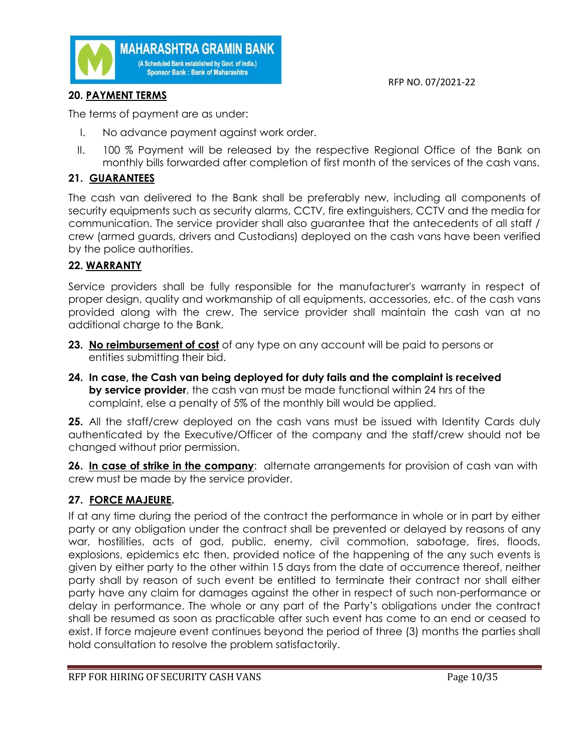



# **20. PAYMENT TERMS**

The terms of payment are as under:

- I. No advance payment against work order.
- II. 100 % Payment will be released by the respective Regional Office of the Bank on monthly bills forwarded after completion of first month of the services of the cash vans.

# **21. GUARANTEES**

The cash van delivered to the Bank shall be preferably new, including all components of security equipments such as security alarms, CCTV, fire extinguishers, CCTV and the media for communication. The service provider shall also guarantee that the antecedents of all staff / crew (armed guards, drivers and Custodians) deployed on the cash vans have been verified by the police authorities.

# **22. WARRANTY**

Service providers shall be fully responsible for the manufacturer's warranty in respect of proper design, quality and workmanship of all equipments, accessories, etc. of the cash vans provided along with the crew. The service provider shall maintain the cash van at no additional charge to the Bank.

- **23. No reimbursement of cost** of any type on any account will be paid to persons or entities submitting their bid.
- **24. In case, the Cash van being deployed for duty fails and the complaint is received by service provider**, the cash van must be made functional within 24 hrs of the complaint, else a penalty of 5% of the monthly bill would be applied.

**25.** All the staff/crew deployed on the cash vans must be issued with Identity Cards duly authenticated by the Executive/Officer of the company and the staff/crew should not be changed without prior permission.

**26. In case of strike in the company**: alternate arrangements for provision of cash van with crew must be made by the service provider.

# **27. FORCE MAJEURE.**

If at any time during the period of the contract the performance in whole or in part by either party or any obligation under the contract shall be prevented or delayed by reasons of any war, hostilities, acts of god, public, enemy, civil commotion, sabotage, fires, floods, explosions, epidemics etc then, provided notice of the happening of the any such events is given by either party to the other within 15 days from the date of occurrence thereof, neither party shall by reason of such event be entitled to terminate their contract nor shall either party have any claim for damages against the other in respect of such non-performance or delay in performance. The whole or any part of the Party's obligations under the contract shall be resumed as soon as practicable after such event has come to an end or ceased to exist. If force majeure event continues beyond the period of three (3) months the parties shall hold consultation to resolve the problem satisfactorily.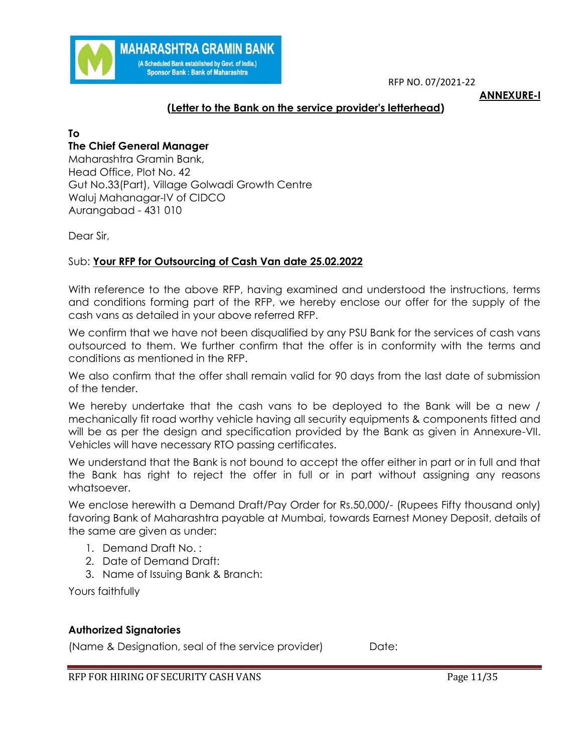

#### **ANNEXURE-I**

# **(Letter to the Bank on the service provider's letterhead)**

# **To**

# **The Chief General Manager**

Maharashtra Gramin Bank, Head Office, Plot No. 42 Gut No.33(Part), Village Golwadi Growth Centre Waluj Mahanagar-IV of CIDCO Aurangabad - 431 010

**MAHARASHTRA GRAMIN BANK** (A Scheduled Bank established by Govt. of India.) **Sponsor Bank: Bank of Maharashtra** 

Dear Sir,

# Sub: **Your RFP for Outsourcing of Cash Van date 25.02.2022**

With reference to the above RFP, having examined and understood the instructions, terms and conditions forming part of the RFP, we hereby enclose our offer for the supply of the cash vans as detailed in your above referred RFP.

We confirm that we have not been disqualified by any PSU Bank for the services of cash vans outsourced to them. We further confirm that the offer is in conformity with the terms and conditions as mentioned in the RFP.

We also confirm that the offer shall remain valid for 90 days from the last date of submission of the tender.

We hereby undertake that the cash vans to be deployed to the Bank will be a new / mechanically fit road worthy vehicle having all security equipments & components fitted and will be as per the design and specification provided by the Bank as given in Annexure-VII. Vehicles will have necessary RTO passing certificates.

We understand that the Bank is not bound to accept the offer either in part or in full and that the Bank has right to reject the offer in full or in part without assigning any reasons whatsoever.

We enclose herewith a Demand Draft/Pay Order for Rs.50,000/- (Rupees Fifty thousand only) favoring Bank of Maharashtra payable at Mumbai, towards Earnest Money Deposit, details of the same are given as under:

- 1. Demand Draft No. :
- 2. Date of Demand Draft:
- 3. Name of Issuing Bank & Branch:

Yours faithfully

#### **Authorized Signatories**

(Name & Designation, seal of the service provider) Date: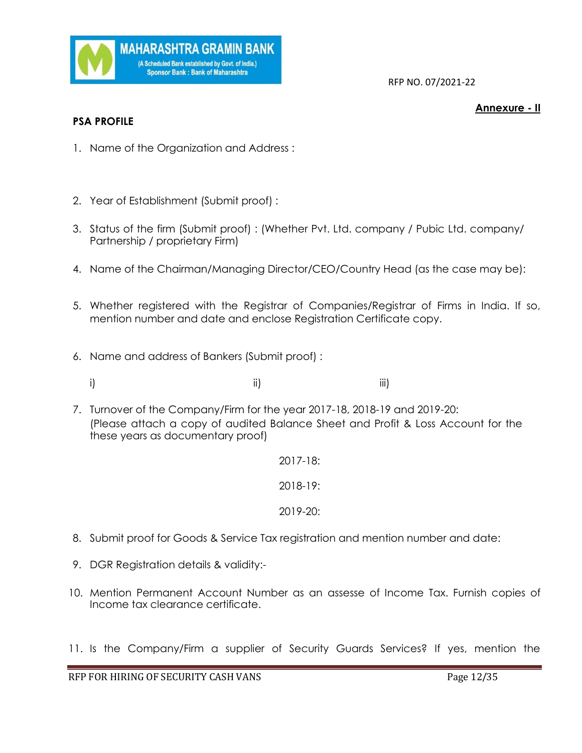

#### **Annexure - II**

- **PSA PROFILE**
- 1. Name of the Organization and Address :
- 2. Year of Establishment (Submit proof) :
- 3. Status of the firm (Submit proof) : (Whether Pvt. Ltd. company / Pubic Ltd. company/ Partnership / proprietary Firm)
- 4. Name of the Chairman/Managing Director/CEO/Country Head (as the case may be):
- 5. Whether registered with the Registrar of Companies/Registrar of Firms in India. If so, mention number and date and enclose Registration Certificate copy.
- 6. Name and address of Bankers (Submit proof) :
	- i) ii) iii)
- 7. Turnover of the Company/Firm for the year 2017-18, 2018-19 and 2019-20: (Please attach a copy of audited Balance Sheet and Profit & Loss Account for the these years as documentary proof)
	- 2017-18: 2018-19: 2019-20:
- 8. Submit proof for Goods & Service Tax registration and mention number and date:
- 9. DGR Registration details & validity:-
- 10. Mention Permanent Account Number as an assesse of Income Tax. Furnish copies of Income tax clearance certificate.
- 11. Is the Company/Firm a supplier of Security Guards Services? If yes, mention the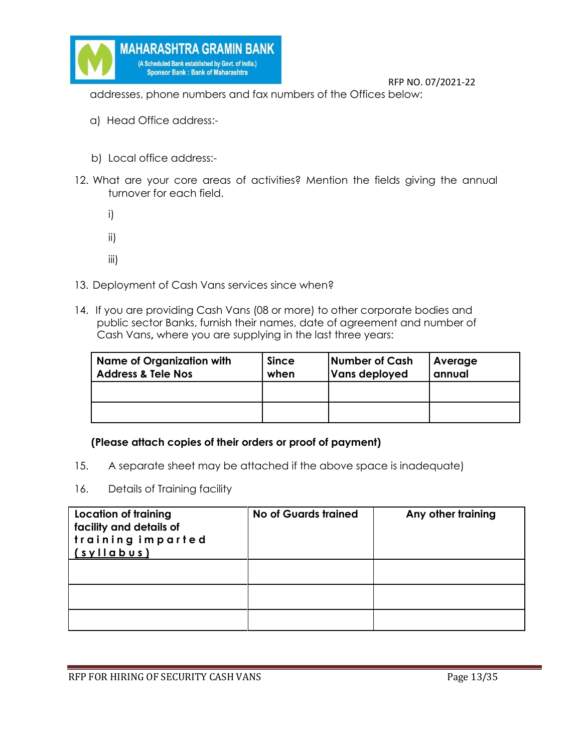

addresses, phone numbers and fax numbers of the Offices below:

- a) Head Office address:-
- b) Local office address:-
- 12. What are your core areas of activities? Mention the fields giving the annual turnover for each field.
	- i)
	- ii)
	- iii)
- 13. Deployment of Cash Vans services since when?
- 14. If you are providing Cash Vans (08 or more) to other corporate bodies and public sector Banks, furnish their names, date of agreement and number of Cash Vans**,** where you are supplying in the last three years:

| <b>Name of Organization with</b><br><b>Address &amp; Tele Nos</b> | <b>Since</b><br>when | Number of Cash<br><b>Vans deployed</b> | Average<br>annual |
|-------------------------------------------------------------------|----------------------|----------------------------------------|-------------------|
|                                                                   |                      |                                        |                   |
|                                                                   |                      |                                        |                   |

#### **(Please attach copies of their orders or proof of payment)**

- 15. A separate sheet may be attached if the above space is inadequate)
- 16. Details of Training facility

| Location of training<br>facility and details of<br>training imparted<br>$(s$ yllabus) | <b>No of Guards trained</b> | Any other training |
|---------------------------------------------------------------------------------------|-----------------------------|--------------------|
|                                                                                       |                             |                    |
|                                                                                       |                             |                    |
|                                                                                       |                             |                    |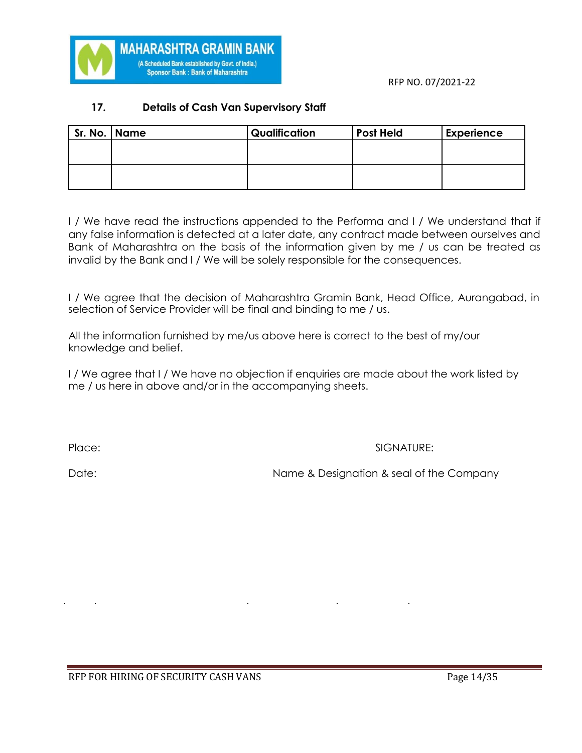

# **17. Details of Cash Van Supervisory Staff**

**MAHARASHTRA GRAMIN BANK** (A Scheduled Bank established by Govt. of India.) **Sponsor Bank: Bank of Maharashtra** 

| Sr. No. Name | Qualification | <b>Post Held</b> | <b>Experience</b> |
|--------------|---------------|------------------|-------------------|
|              |               |                  |                   |
|              |               |                  |                   |
|              |               |                  |                   |
|              |               |                  |                   |

I / We have read the instructions appended to the Performa and I / We understand that if any false information is detected at a later date, any contract made between ourselves and Bank of Maharashtra on the basis of the information given by me / us can be treated as invalid by the Bank and I / We will be solely responsible for the consequences.

I / We agree that the decision of Maharashtra Gramin Bank, Head Office, Aurangabad, in selection of Service Provider will be final and binding to me / us.

All the information furnished by me/us above here is correct to the best of my/our knowledge and belief.

I / We agree that I / We have no objection if enquiries are made about the work listed by me / us here in above and/or in the accompanying sheets.

Place: SIGNATURE:

Date: Name & Designation & seal of the Company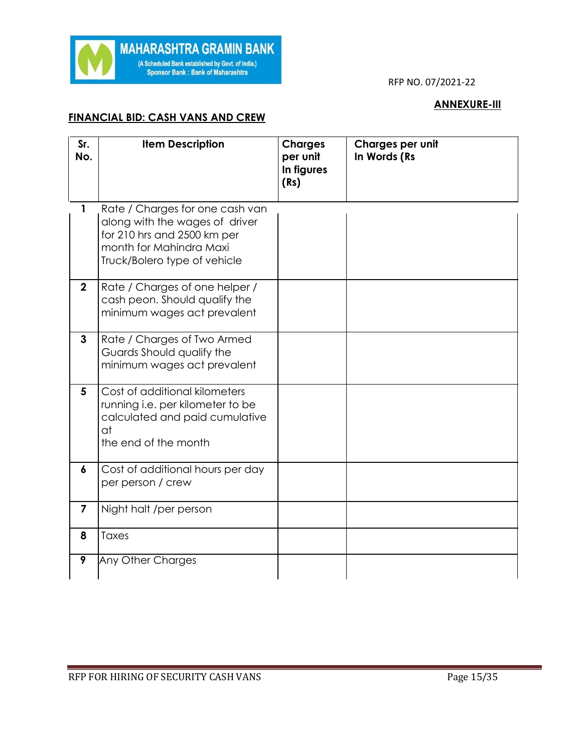

# **ANNEXURE-III**

# **FINANCIAL BID: CASH VANS AND CREW**

| Sr.<br>No.       | <b>Item Description</b>                                                                                                                                     | <b>Charges</b><br>per unit<br>In figures<br>(Rs) | Charges per unit<br>In Words (Rs |
|------------------|-------------------------------------------------------------------------------------------------------------------------------------------------------------|--------------------------------------------------|----------------------------------|
| $\mathbf{1}$     | Rate / Charges for one cash van<br>along with the wages of driver<br>for 210 hrs and 2500 km per<br>month for Mahindra Maxi<br>Truck/Bolero type of vehicle |                                                  |                                  |
| $\mathbf{2}$     | Rate / Charges of one helper /<br>cash peon. Should qualify the<br>minimum wages act prevalent                                                              |                                                  |                                  |
| $\mathbf{3}$     | Rate / Charges of Two Armed<br>Guards Should qualify the<br>minimum wages act prevalent                                                                     |                                                  |                                  |
| 5                | Cost of additional kilometers<br>running i.e. per kilometer to be<br>calculated and paid cumulative<br>at<br>the end of the month                           |                                                  |                                  |
| $\boldsymbol{6}$ | Cost of additional hours per day<br>per person / crew                                                                                                       |                                                  |                                  |
| $\overline{7}$   | Night halt /per person                                                                                                                                      |                                                  |                                  |
| 8                | Taxes                                                                                                                                                       |                                                  |                                  |
| 9                | Any Other Charges                                                                                                                                           |                                                  |                                  |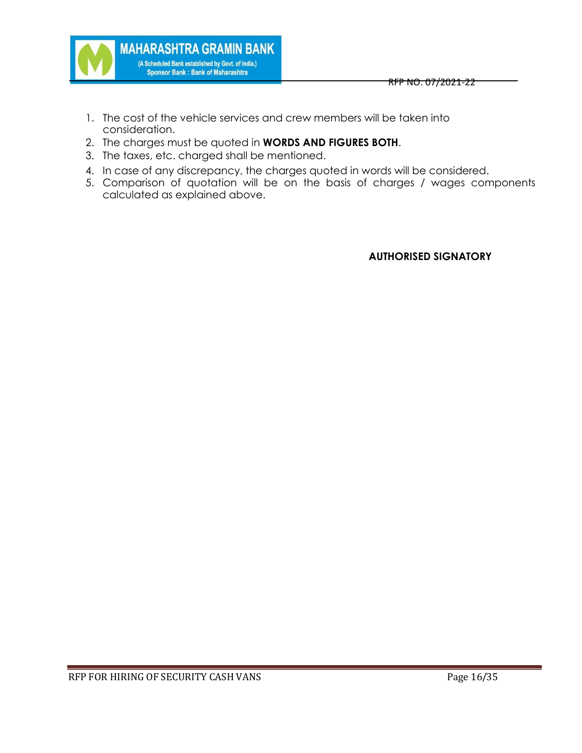

- **MAHARASHTRA GRAMIN BANK** (A Scheduled Bank established by Govt. of India.) **Sponsor Bank: Bank of Maharashtra** 
	- 1. The cost of the vehicle services and crew members will be taken into consideration.
	- 2. The charges must be quoted in **WORDS AND FIGURES BOTH**.
	- 3. The taxes, etc. charged shall be mentioned.
	- 4. In case of any discrepancy, the charges quoted in words will be considered.
	- 5. Comparison of quotation will be on the basis of charges / wages components calculated as explained above.

**AUTHORISED SIGNATORY**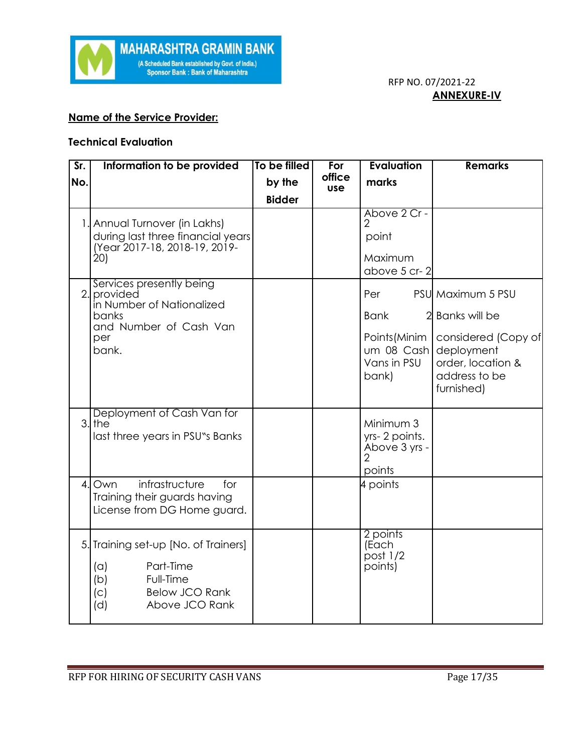

# **Name of the Service Provider:**

#### **Technical Evaluation**

| $\overline{\text{Sr.}}$ | Information to be provided                                                                                                         | To be filled  | For                  | Evaluation                                                                | <b>Remarks</b>                                                                                                              |
|-------------------------|------------------------------------------------------------------------------------------------------------------------------------|---------------|----------------------|---------------------------------------------------------------------------|-----------------------------------------------------------------------------------------------------------------------------|
| No.                     |                                                                                                                                    | by the        | office<br><b>use</b> | marks                                                                     |                                                                                                                             |
|                         |                                                                                                                                    | <b>Bidder</b> |                      |                                                                           |                                                                                                                             |
|                         | 1. Annual Turnover (in Lakhs)<br>during last three financial years<br>(Year 2017-18, 2018-19, 2019-<br>20)                         |               |                      | Above 2 Cr -<br>$\overline{2}$<br>point<br>Maximum<br>above 5 cr-2        |                                                                                                                             |
|                         | Services presently being<br>2. provided<br>in Number of Nationalized<br>banks<br>and Number of Cash Van<br>per<br>bank.            |               |                      | Per<br><b>Bank</b><br>Points (Minim<br>um 08 Cash<br>Vans in PSU<br>bank) | PSU Maximum 5 PSU<br>Banks will be<br>considered (Copy of<br>deployment<br>order, location &<br>address to be<br>furnished) |
|                         | Deployment of Cash Van for<br>$3.$ the<br>last three years in PSU"s Banks                                                          |               |                      | Minimum 3<br>yrs-2 points.<br>Above 3 yrs -<br>$\mathfrak{D}$<br>points   |                                                                                                                             |
| $\mathcal{A}$ .         | infrastructure<br>Own<br>for<br>Training their guards having<br>License from DG Home guard.                                        |               |                      | 4 points                                                                  |                                                                                                                             |
| 5.                      | Training set-up [No. of Trainers]<br>Part-Time<br>(a)<br>(b)<br>Full-Time<br><b>Below JCO Rank</b><br>(c)<br>(d)<br>Above JCO Rank |               |                      | 2 points<br>(Each<br>post 1/2<br>points)                                  |                                                                                                                             |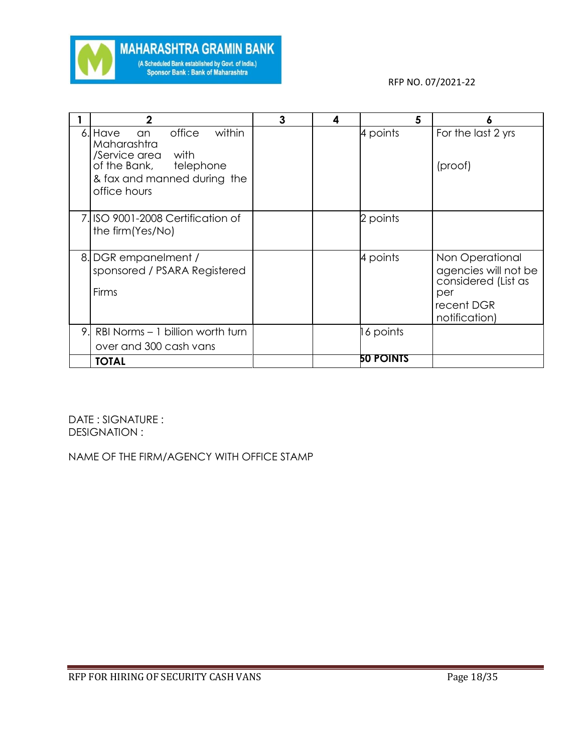

|    | $\mathbf 2$                                                                                                                                        | 3 | 4 | 5                | ٥                                                                                                    |
|----|----------------------------------------------------------------------------------------------------------------------------------------------------|---|---|------------------|------------------------------------------------------------------------------------------------------|
|    | 6. Have<br>within<br>office<br>an<br>Maharashtra<br>with<br>/Service area<br>of the Bank, telephone<br>& fax and manned during the<br>office hours |   |   | 4 points         | For the last 2 yrs<br>(proof)                                                                        |
|    | 7. ISO 9001-2008 Certification of<br>the firm (Yes/No)                                                                                             |   |   | 2 points         |                                                                                                      |
|    | 8. DGR empanelment /<br>sponsored / PSARA Registered<br>Firms                                                                                      |   |   | 4 points         | Non Operational<br>agencies will not be<br>considered (List as<br>per<br>recent DGR<br>notification) |
| 9. | RBI Norms - 1 billion worth turn<br>over and 300 cash vans                                                                                         |   |   | 16 points        |                                                                                                      |
|    | <b>TOTAL</b>                                                                                                                                       |   |   | <b>50 POINTS</b> |                                                                                                      |

DATE : SIGNATURE : DESIGNATION :

NAME OF THE FIRM/AGENCY WITH OFFICE STAMP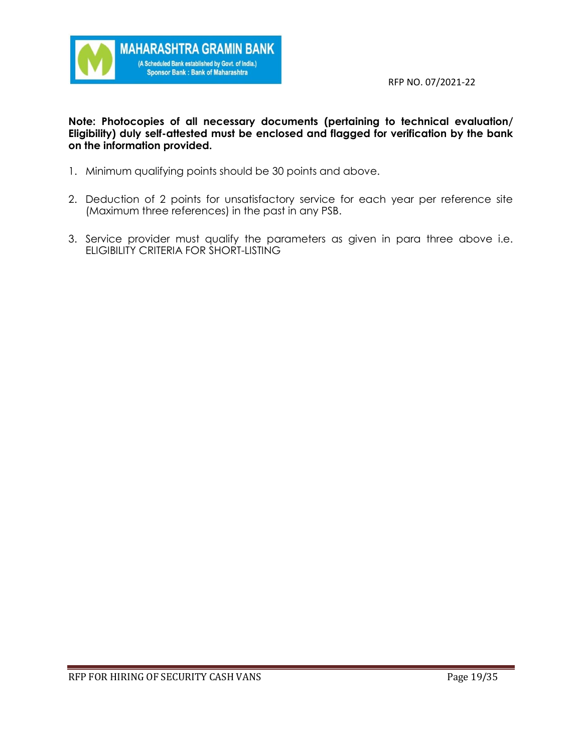

### **Note: Photocopies of all necessary documents (pertaining to technical evaluation/ Eligibility) duly self-attested must be enclosed and flagged for verification by the bank on the information provided.**

- 1. Minimum qualifying points should be 30 points and above.
- 2. Deduction of 2 points for unsatisfactory service for each year per reference site (Maximum three references) in the past in any PSB.
- 3. Service provider must qualify the parameters as given in para three above i.e. ELIGIBILITY CRITERIA FOR SHORT-LISTING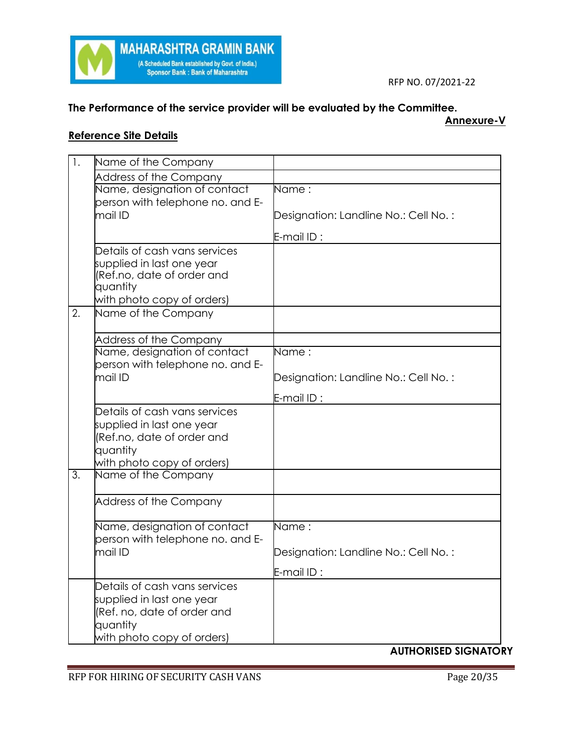

# **The Performance of the service provider will be evaluated by the Committee.**

#### **Annexure-V**

# **Reference Site Details**

| 1. | Name of the Company                               |                                      |
|----|---------------------------------------------------|--------------------------------------|
|    | Address of the Company                            |                                      |
|    | Name, designation of contact                      | Name:                                |
|    | person with telephone no. and E-                  |                                      |
|    | mail ID                                           | Designation: Landline No.: Cell No.: |
|    |                                                   | E-mail ID:                           |
|    | Details of cash vans services                     |                                      |
|    | supplied in last one year                         |                                      |
|    | (Ref.no, date of order and<br>quantity            |                                      |
|    | with photo copy of orders)                        |                                      |
| 2. | Name of the Company                               |                                      |
|    |                                                   |                                      |
|    | Address of the Company                            |                                      |
|    | Name, designation of contact                      | Name:                                |
|    | person with telephone no. and E-                  |                                      |
|    | mail ID                                           | Designation: Landline No.: Cell No.: |
|    |                                                   | E-mail ID:                           |
|    | Details of cash vans services                     |                                      |
|    | supplied in last one year                         |                                      |
|    | (Ref.no, date of order and                        |                                      |
|    | quantity                                          |                                      |
| 3. | with photo copy of orders)<br>Name of the Company |                                      |
|    |                                                   |                                      |
|    | Address of the Company                            |                                      |
|    |                                                   |                                      |
|    | Name, designation of contact                      | Name:                                |
|    | person with telephone no. and E-                  |                                      |
|    | mail ID                                           | Designation: Landline No.: Cell No.: |
|    |                                                   | E-mail $ID:$                         |
|    | Details of cash vans services                     |                                      |
|    | supplied in last one year                         |                                      |
|    | (Ref. no, date of order and                       |                                      |
|    | quantity                                          |                                      |
|    | with photo copy of orders)                        |                                      |

# **AUTHORISED SIGNATORY**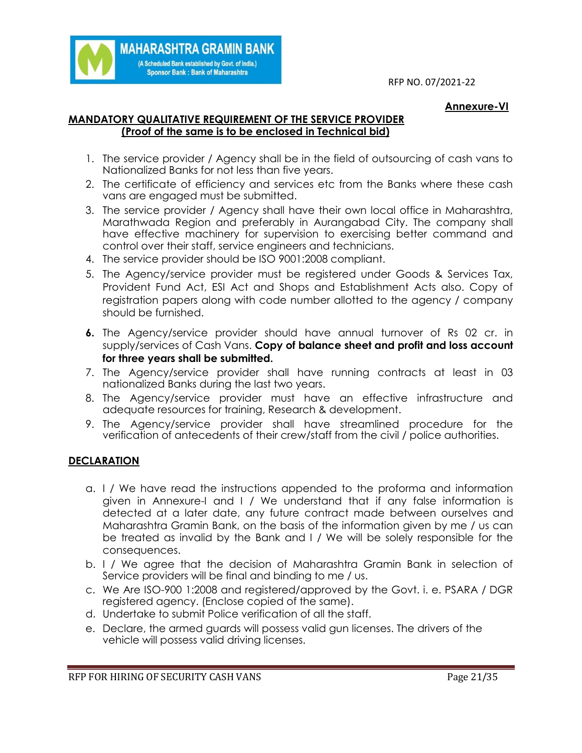#### **Annexure-VI**

#### **MANDATORY QUALITATIVE REQUIREMENT OF THE SERVICE PROVIDER (Proof of the same is to be enclosed in Technical bid)**

**MAHARASHTRA GRAMIN BANK** (A Scheduled Bank established by Govt. of India.) Sponsor Bank : Bank of Maharashtra

- 1. The service provider / Agency shall be in the field of outsourcing of cash vans to Nationalized Banks for not less than five years.
- 2. The certificate of efficiency and services etc from the Banks where these cash vans are engaged must be submitted.
- 3. The service provider / Agency shall have their own local office in Maharashtra, Marathwada Region and preferably in Aurangabad City. The company shall have effective machinery for supervision to exercising better command and control over their staff, service engineers and technicians.
- 4. The service provider should be ISO 9001:2008 compliant.
- 5. The Agency/service provider must be registered under Goods & Services Tax, Provident Fund Act, ESI Act and Shops and Establishment Acts also. Copy of registration papers along with code number allotted to the agency / company should be furnished.
- **6.** The Agency/service provider should have annual turnover of Rs 02 cr. in supply/services of Cash Vans. **Copy of balance sheet and profit and loss account for three years shall be submitted.**
- 7. The Agency/service provider shall have running contracts at least in 03 nationalized Banks during the last two years.
- 8. The Agency/service provider must have an effective infrastructure and adequate resources for training, Research & development.
- 9. The Agency/service provider shall have streamlined procedure for the verification of antecedents of their crew/staff from the civil / police authorities.

# **DECLARATION**

- a. I / We have read the instructions appended to the proforma and information given in Annexure-I and I / We understand that if any false information is detected at a later date, any future contract made between ourselves and Maharashtra Gramin Bank, on the basis of the information given by me / us can be treated as invalid by the Bank and I / We will be solely responsible for the consequences.
- b. I / We agree that the decision of Maharashtra Gramin Bank in selection of Service providers will be final and binding to me / us.
- c. We Are ISO-900 1:2008 and registered/approved by the Govt. i. e. PSARA / DGR registered agency. (Enclose copied of the same).
- d. Undertake to submit Police verification of all the staff.
- e. Declare, the armed guards will possess valid gun licenses. The drivers of the vehicle will possess valid driving licenses.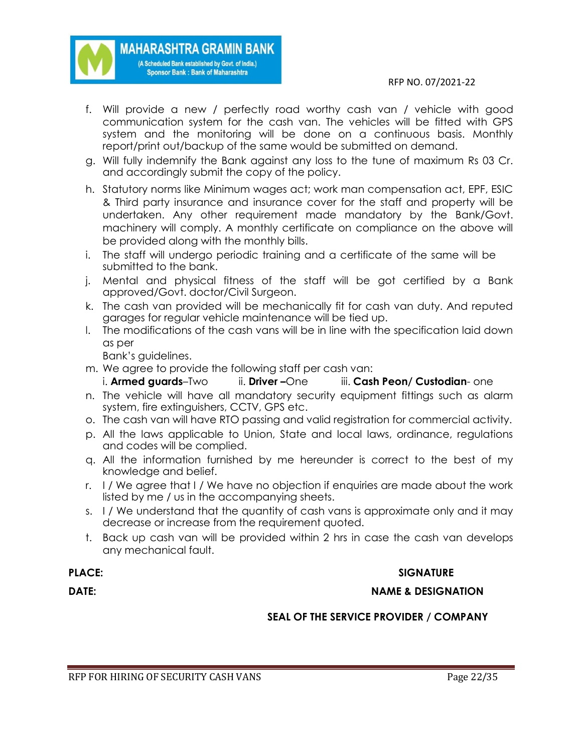- f. Will provide a new / perfectly road worthy cash van / vehicle with good communication system for the cash van. The vehicles will be fitted with GPS system and the monitoring will be done on a continuous basis. Monthly report/print out/backup of the same would be submitted on demand.
- g. Will fully indemnify the Bank against any loss to the tune of maximum Rs 03 Cr. and accordingly submit the copy of the policy.
- h. Statutory norms like Minimum wages act; work man compensation act, EPF, ESIC & Third party insurance and insurance cover for the staff and property will be undertaken. Any other requirement made mandatory by the Bank/Govt. machinery will comply. A monthly certificate on compliance on the above will be provided along with the monthly bills.
- i. The staff will undergo periodic training and a certificate of the same will be submitted to the bank.
- j. Mental and physical fitness of the staff will be got certified by a Bank approved/Govt. doctor/Civil Surgeon.
- k. The cash van provided will be mechanically fit for cash van duty. And reputed garages for regular vehicle maintenance will be tied up.
- l. The modifications of the cash vans will be in line with the specification laid down as per

Bank's guidelines.

m. We agree to provide the following staff per cash van:

**MAHARASHTRA GRAMIN BANK** (A Scheduled Bank established by Govt. of India.) Sponsor Bank : Bank of Maharashtra

- i. **Armed guards**–Two ii. **Driver –**One iii. **Cash Peon/ Custodian** one
- n. The vehicle will have all mandatory security equipment fittings such as alarm system, fire extinguishers, CCTV, GPS etc.
- o. The cash van will have RTO passing and valid registration for commercial activity.
- p. All the laws applicable to Union, State and local laws, ordinance, regulations and codes will be complied.
- q. All the information furnished by me hereunder is correct to the best of my knowledge and belief.
- r. I / We agree that I / We have no objection if enquiries are made about the work listed by me / us in the accompanying sheets.
- s. I / We understand that the quantity of cash vans is approximate only and it may decrease or increase from the requirement quoted.
- t. Back up cash van will be provided within 2 hrs in case the cash van develops any mechanical fault.

# **PLACE:** SIGNATURE

**DATE:** NAME & DESIGNATION

### **SEAL OF THE SERVICE PROVIDER / COMPANY**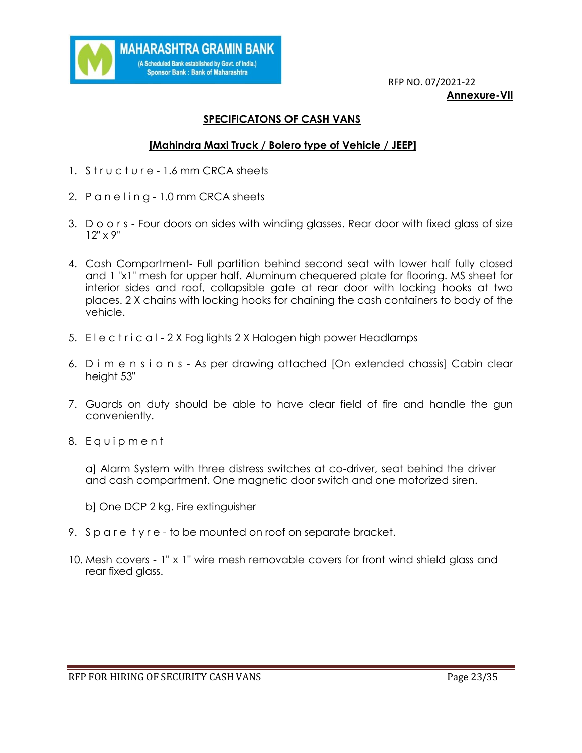

 RFP NO. 07/2021-22 **Annexure-VII**

### **SPECIFICATONS OF CASH VANS**

#### **[Mahindra Maxi Truck / Bolero type of Vehicle / JEEP]**

- 1. Structure 1.6 mm CRCA sheets
- 2. P a n e l i n g 1.0 mm CRCA sheets
- 3. D o o r s Four doors on sides with winding glasses. Rear door with fixed glass of size 12" x 9"
- 4. Cash Compartment- Full partition behind second seat with lower half fully closed and 1 "x1" mesh for upper half. Aluminum chequered plate for flooring. MS sheet for interior sides and roof, collapsible gate at rear door with locking hooks at two places. 2 X chains with locking hooks for chaining the cash containers to body of the vehicle.
- 5. E l e c t r i c a l 2 X Fog lights 2 X Halogen high power Headlamps
- 6. D i m e n s i o n s As per drawing attached [On extended chassis] Cabin clear height 53"
- 7. Guards on duty should be able to have clear field of fire and handle the gun conveniently.
- 8. Equipment

a] Alarm System with three distress switches at co-driver, seat behind the driver and cash compartment. One magnetic door switch and one motorized siren.

b] One DCP 2 kg. Fire extinguisher

- 9. Spare tyre to be mounted on roof on separate bracket.
- 10. Mesh covers 1" x 1" wire mesh removable covers for front wind shield glass and rear fixed glass.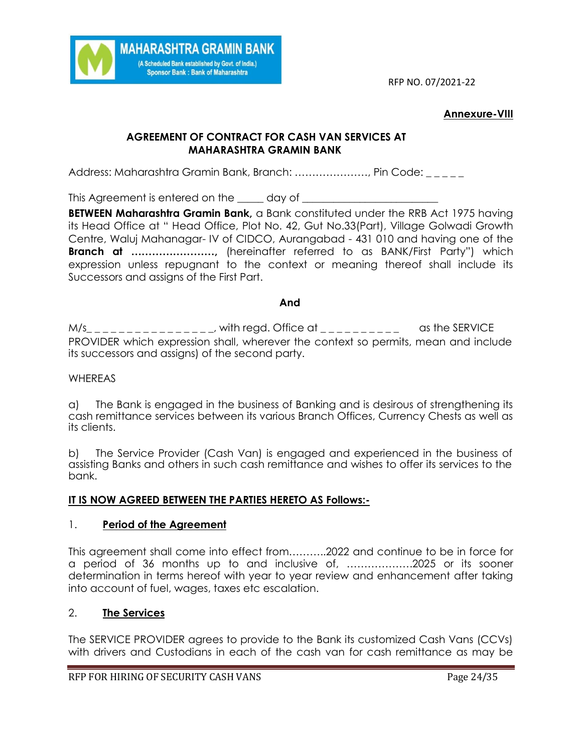

#### **Annexure-VIII**

# **AGREEMENT OF CONTRACT FOR CASH VAN SERVICES AT MAHARASHTRA GRAMIN BANK**

Address: Maharashtra Gramin Bank, Branch: …………………, Pin Code:

This Agreement is entered on the <u>equal</u> day of **the sum of the set of the set of the set of the set of the set of the set of the set of the set of the set of the set of the set of the set of the set of the set of the set** 

**BETWEEN Maharashtra Gramin Bank,** a Bank constituted under the RRB Act 1975 having its Head Office at " Head Office, Plot No. 42, Gut No.33(Part), Village Golwadi Growth Centre, Waluj Mahanagar- IV of CIDCO, Aurangabad - 431 010 and having one of the **Branch at ……………………,** (hereinafter referred to as BANK/First Party") which expression unless repugnant to the context or meaning thereof shall include its Successors and assigns of the First Part.

#### **And**

 $M/s$ <sub>\_\_\_\_\_\_\_\_\_\_\_\_\_\_\_, with regd. Office at \_\_\_\_\_\_\_\_\_\_ as the SERVICE</sub> PROVIDER which expression shall, wherever the context so permits, mean and include its successors and assigns) of the second party.

#### WHEREAS

a) The Bank is engaged in the business of Banking and is desirous of strengthening its cash remittance services between its various Branch Offices, Currency Chests as well as its clients.

b) The Service Provider (Cash Van) is engaged and experienced in the business of assisting Banks and others in such cash remittance and wishes to offer its services to the bank.

#### **IT IS NOW AGREED BETWEEN THE PARTIES HERETO AS Follows:-**

#### 1. **Period of the Agreement**

This agreement shall come into effect from………..2022 and continue to be in force for a period of 36 months up to and inclusive of, ……………….2025 or its sooner determination in terms hereof with year to year review and enhancement after taking into account of fuel, wages, taxes etc escalation.

#### 2. **The Services**

The SERVICE PROVIDER agrees to provide to the Bank its customized Cash Vans (CCVs) with drivers and Custodians in each of the cash van for cash remittance as may be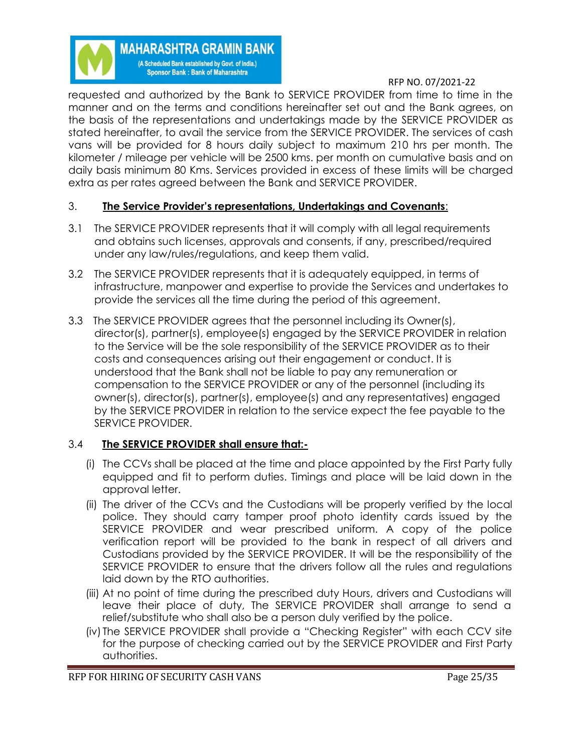**MAHARASHTRA GRAMIN BANK** (A Scheduled Bank established by Govt. of India.) **Sponsor Bank: Bank of Maharashtra** 

RFP NO. 07/2021-22

requested and authorized by the Bank to SERVICE PROVIDER from time to time in the manner and on the terms and conditions hereinafter set out and the Bank agrees, on the basis of the representations and undertakings made by the SERVICE PROVIDER as stated hereinafter, to avail the service from the SERVICE PROVIDER. The services of cash vans will be provided for 8 hours daily subject to maximum 210 hrs per month. The kilometer / mileage per vehicle will be 2500 kms. per month on cumulative basis and on daily basis minimum 80 Kms. Services provided in excess of these limits will be charged extra as per rates agreed between the Bank and SERVICE PROVIDER.

# 3. **The Service Provider's representations, Undertakings and Covenants**:

- 3.1 The SERVICE PROVIDER represents that it will comply with all legal requirements and obtains such licenses, approvals and consents, if any, prescribed/required under any law/rules/regulations, and keep them valid.
- 3.2 The SERVICE PROVIDER represents that it is adequately equipped, in terms of infrastructure, manpower and expertise to provide the Services and undertakes to provide the services all the time during the period of this agreement.
- 3.3 The SERVICE PROVIDER agrees that the personnel including its Owner(s), director(s), partner(s), employee(s) engaged by the SERVICE PROVIDER in relation to the Service will be the sole responsibility of the SERVICE PROVIDER as to their costs and consequences arising out their engagement or conduct. It is understood that the Bank shall not be liable to pay any remuneration or compensation to the SERVICE PROVIDER or any of the personnel (including its owner(s), director(s), partner(s), employee(s) and any representatives) engaged by the SERVICE PROVIDER in relation to the service expect the fee payable to the SERVICE PROVIDER.

# 3.4 **The SERVICE PROVIDER shall ensure that:-**

- (i) The CCVs shall be placed at the time and place appointed by the First Party fully equipped and fit to perform duties. Timings and place will be laid down in the approval letter.
- (ii) The driver of the CCVs and the Custodians will be properly verified by the local police. They should carry tamper proof photo identity cards issued by the SERVICE PROVIDER and wear prescribed uniform. A copy of the police verification report will be provided to the bank in respect of all drivers and Custodians provided by the SERVICE PROVIDER. It will be the responsibility of the SERVICE PROVIDER to ensure that the drivers follow all the rules and regulations laid down by the RTO authorities.
- (iii) At no point of time during the prescribed duty Hours, drivers and Custodians will leave their place of duty, The SERVICE PROVIDER shall arrange to send a relief/substitute who shall also be a person duly verified by the police.
- (iv) The SERVICE PROVIDER shall provide a "Checking Register" with each CCV site for the purpose of checking carried out by the SERVICE PROVIDER and First Party authorities.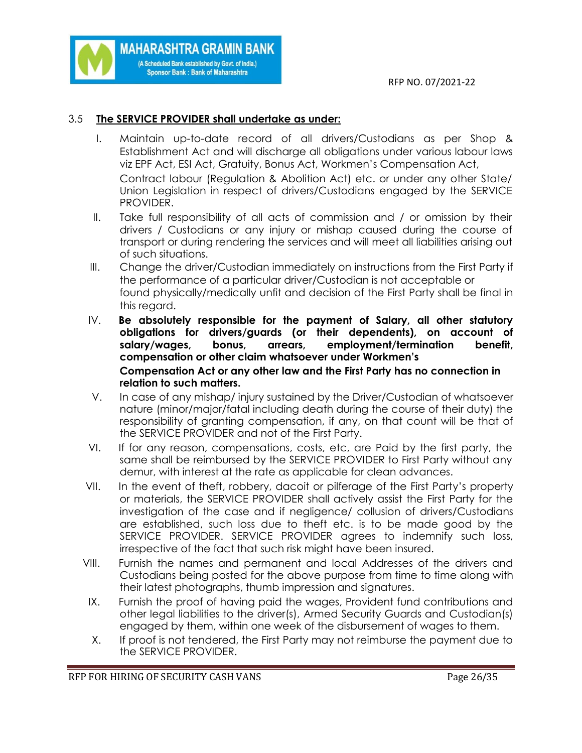# 3.5 **The SERVICE PROVIDER shall undertake as under:**

**MAHARASHTRA GRAMIN BANK** (A Scheduled Bank established by Govt. of India.) **Sponsor Bank: Bank of Maharashtra** 

- I. Maintain up-to-date record of all drivers/Custodians as per Shop & Establishment Act and will discharge all obligations under various labour laws viz EPF Act, ESI Act, Gratuity, Bonus Act, Workmen's Compensation Act, Contract labour (Regulation & Abolition Act) etc. or under any other State/ Union Legislation in respect of drivers/Custodians engaged by the SERVICE PROVIDER.
- II. Take full responsibility of all acts of commission and / or omission by their drivers / Custodians or any injury or mishap caused during the course of transport or during rendering the services and will meet all liabilities arising out of such situations.
- III. Change the driver/Custodian immediately on instructions from the First Party if the performance of a particular driver/Custodian is not acceptable or found physically/medically unfit and decision of the First Party shall be final in this regard.
- IV. **Be absolutely responsible for the payment of Salary, all other statutory obligations for drivers/guards (or their dependents), on account of salary/wages, bonus, arrears, employment/termination benefit, compensation or other claim whatsoever under Workmen's Compensation Act or any other law and the First Party has no connection in relation to such matters.**
- V. In case of any mishap/ injury sustained by the Driver/Custodian of whatsoever nature (minor/major/fatal including death during the course of their duty) the responsibility of granting compensation, if any, on that count will be that of the SERVICE PROVIDER and not of the First Party.
- VI. If for any reason, compensations, costs, etc, are Paid by the first party, the same shall be reimbursed by the SERVICE PROVIDER to First Party without any demur, with interest at the rate as applicable for clean advances.
- VII. In the event of theft, robbery, dacoit or pilferage of the First Party's property or materials, the SERVICE PROVIDER shall actively assist the First Party for the investigation of the case and if negligence/ collusion of drivers/Custodians are established, such loss due to theft etc. is to be made good by the SERVICE PROVIDER. SERVICE PROVIDER agrees to indemnify such loss, irrespective of the fact that such risk might have been insured.
- VIII. Furnish the names and permanent and local Addresses of the drivers and Custodians being posted for the above purpose from time to time along with their latest photographs, thumb impression and signatures.
- IX. Furnish the proof of having paid the wages, Provident fund contributions and other legal liabilities to the driver(s), Armed Security Guards and Custodian(s) engaged by them, within one week of the disbursement of wages to them.
- X. If proof is not tendered, the First Party may not reimburse the payment due to the SERVICE PROVIDER.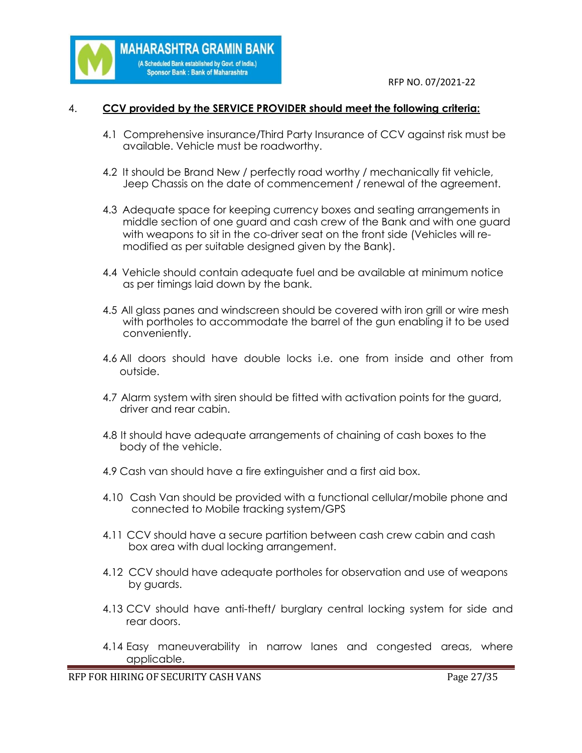

### 4. **CCV provided by the SERVICE PROVIDER should meet the following criteria:**

**MAHARASHTRA GRAMIN BANK** (A Scheduled Bank established by Govt. of India.) **Sponsor Bank: Bank of Maharashtra** 

- 4.1 Comprehensive insurance/Third Party Insurance of CCV against risk must be available. Vehicle must be roadworthy.
- 4.2 It should be Brand New / perfectly road worthy / mechanically fit vehicle, Jeep Chassis on the date of commencement / renewal of the agreement.
- 4.3 Adequate space for keeping currency boxes and seating arrangements in middle section of one guard and cash crew of the Bank and with one guard with weapons to sit in the co-driver seat on the front side (Vehicles will re modified as per suitable designed given by the Bank).
- 4.4 Vehicle should contain adequate fuel and be available at minimum notice as per timings laid down by the bank.
- 4.5 All glass panes and windscreen should be covered with iron grill or wire mesh with portholes to accommodate the barrel of the gun enabling it to be used conveniently.
- 4.6 All doors should have double locks i.e. one from inside and other from outside.
- 4.7 Alarm system with siren should be fitted with activation points for the guard, driver and rear cabin.
- 4.8 It should have adequate arrangements of chaining of cash boxes to the body of the vehicle.
- 4.9 Cash van should have a fire extinguisher and a first aid box.
- 4.10 Cash Van should be provided with a functional cellular/mobile phone and connected to Mobile tracking system/GPS
- 4.11 CCV should have a secure partition between cash crew cabin and cash box area with dual locking arrangement.
- 4.12 CCV should have adequate portholes for observation and use of weapons by guards.
- 4.13 CCV should have anti-theft/ burglary central locking system for side and rear doors.
- 4.14 Easy maneuverability in narrow lanes and congested areas, where applicable.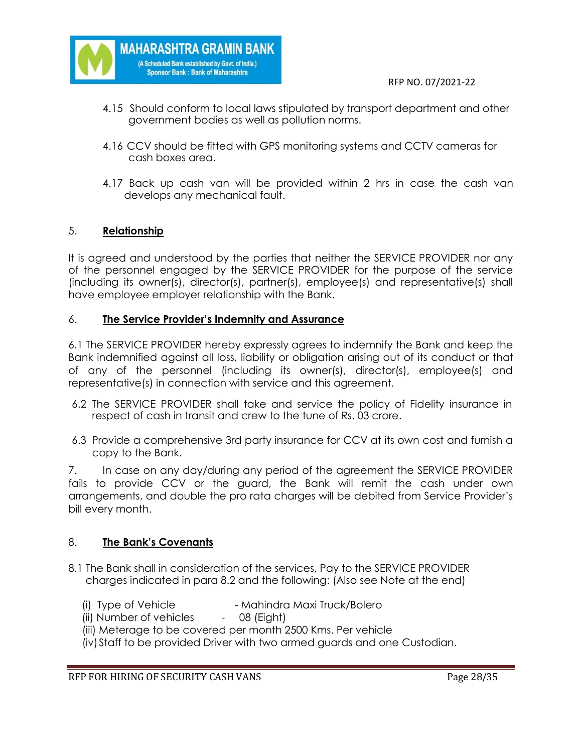

- 4.15 Should conform to local laws stipulated by transport department and other government bodies as well as pollution norms.
- 4.16 CCV should be fitted with GPS monitoring systems and CCTV cameras for cash boxes area.
- 4.17 Back up cash van will be provided within 2 hrs in case the cash van develops any mechanical fault.

### 5. **Relationship**

It is agreed and understood by the parties that neither the SERVICE PROVIDER nor any of the personnel engaged by the SERVICE PROVIDER for the purpose of the service (including its owner(s), director(s), partner(s), employee(s) and representative(s) shall have employee employer relationship with the Bank.

#### 6. **The Service Provider's Indemnity and Assurance**

**MAHARASHTRA GRAMIN BANK** (A Scheduled Bank established by Govt. of India.) **Sponsor Bank: Bank of Maharashtra** 

6.1 The SERVICE PROVIDER hereby expressly agrees to indemnify the Bank and keep the Bank indemnified against all loss, liability or obligation arising out of its conduct or that of any of the personnel (including its owner(s), director(s), employee(s) and representative(s) in connection with service and this agreement.

- 6.2 The SERVICE PROVIDER shall take and service the policy of Fidelity insurance in respect of cash in transit and crew to the tune of Rs. 03 crore.
- 6.3 Provide a comprehensive 3rd party insurance for CCV at its own cost and furnish a copy to the Bank.

7. In case on any day/during any period of the agreement the SERVICE PROVIDER fails to provide CCV or the guard, the Bank will remit the cash under own arrangements, and double the pro rata charges will be debited from Service Provider's bill every month.

#### 8. **The Bank's Covenants**

- 8.1 The Bank shall in consideration of the services, Pay to the SERVICE PROVIDER charges indicated in para 8.2 and the following: (Also see Note at the end)
	- (i) Type of Vehicle Mahindra Maxi Truck/Bolero
	- (ii) Number of vehicles 08 (Eight)
	- (iii) Meterage to be covered per month 2500 Kms. Per vehicle
	- (iv)Staff to be provided Driver with two armed guards and one Custodian.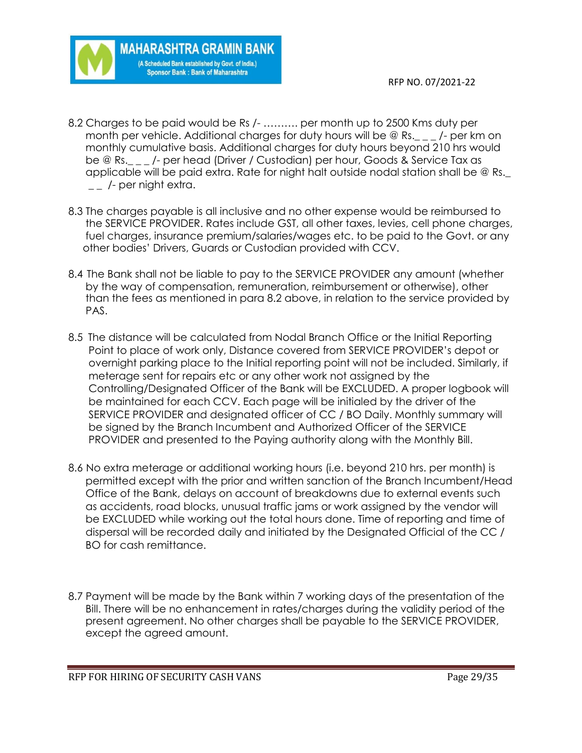

8.2 Charges to be paid would be Rs /- ………. per month up to 2500 Kms duty per month per vehicle. Additional charges for duty hours will be @ Rs.\_\_\_/- per km on monthly cumulative basis. Additional charges for duty hours beyond 210 hrs would be @ Rs.  $\blacksquare$  /- per head (Driver / Custodian) per hour, Goods & Service Tax as applicable will be paid extra. Rate for night halt outside nodal station shall be @ Rs.\_  $\frac{1}{2}$  /- per night extra.

**MAHARASHTRA GRAMIN BANK** (A Scheduled Bank established by Govt. of India.) **Sponsor Bank: Bank of Maharashtra** 

- 8.3 The charges payable is all inclusive and no other expense would be reimbursed to the SERVICE PROVIDER. Rates include GST, all other taxes, levies, cell phone charges, fuel charges, insurance premium/salaries/wages etc. to be paid to the Govt. or any other bodies' Drivers, Guards or Custodian provided with CCV.
- 8.4 The Bank shall not be liable to pay to the SERVICE PROVIDER any amount (whether by the way of compensation, remuneration, reimbursement or otherwise), other than the fees as mentioned in para 8.2 above, in relation to the service provided by PAS.
- 8.5 The distance will be calculated from Nodal Branch Office or the Initial Reporting Point to place of work only, Distance covered from SERVICE PROVIDER's depot or overnight parking place to the Initial reporting point will not be included. Similarly, if meterage sent for repairs etc or any other work not assigned by the Controlling/Designated Officer of the Bank will be EXCLUDED. A proper logbook will be maintained for each CCV. Each page will be initialed by the driver of the SERVICE PROVIDER and designated officer of CC / BO Daily. Monthly summary will be signed by the Branch Incumbent and Authorized Officer of the SERVICE PROVIDER and presented to the Paying authority along with the Monthly Bill.
- 8.6 No extra meterage or additional working hours (i.e. beyond 210 hrs. per month) is permitted except with the prior and written sanction of the Branch Incumbent/Head Office of the Bank, delays on account of breakdowns due to external events such as accidents, road blocks, unusual traffic jams or work assigned by the vendor will be EXCLUDED while working out the total hours done. Time of reporting and time of dispersal will be recorded daily and initiated by the Designated Official of the CC / BO for cash remittance.
- 8.7 Payment will be made by the Bank within 7 working days of the presentation of the Bill. There will be no enhancement in rates/charges during the validity period of the present agreement. No other charges shall be payable to the SERVICE PROVIDER, except the agreed amount.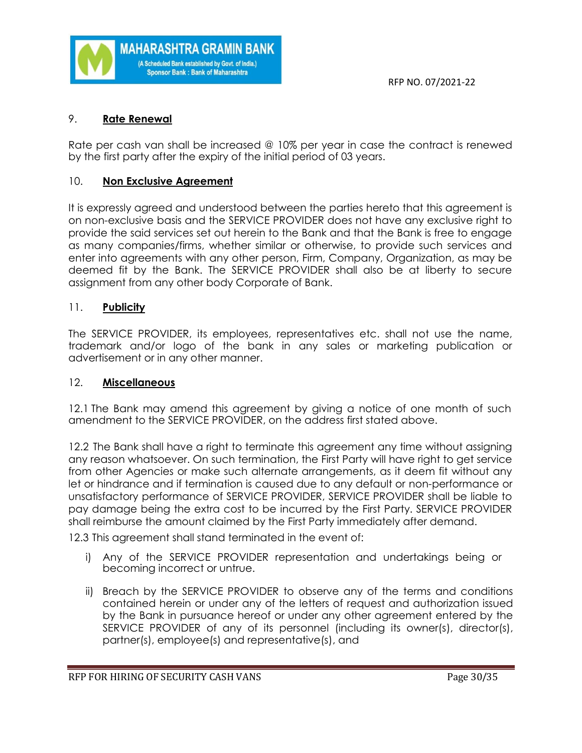

# 9. **Rate Renewal**

Rate per cash van shall be increased @ 10% per year in case the contract is renewed by the first party after the expiry of the initial period of 03 years.

# 10. **Non Exclusive Agreement**

It is expressly agreed and understood between the parties hereto that this agreement is on non-exclusive basis and the SERVICE PROVIDER does not have any exclusive right to provide the said services set out herein to the Bank and that the Bank is free to engage as many companies/firms, whether similar or otherwise, to provide such services and enter into agreements with any other person, Firm, Company, Organization, as may be deemed fit by the Bank. The SERVICE PROVIDER shall also be at liberty to secure assignment from any other body Corporate of Bank.

# 11. **Publicity**

The SERVICE PROVIDER, its employees, representatives etc. shall not use the name, trademark and/or logo of the bank in any sales or marketing publication or advertisement or in any other manner.

# 12. **Miscellaneous**

12.1 The Bank may amend this agreement by giving a notice of one month of such amendment to the SERVICE PROVIDER, on the address first stated above.

12.2 The Bank shall have a right to terminate this agreement any time without assigning any reason whatsoever. On such termination, the First Party will have right to get service from other Agencies or make such alternate arrangements, as it deem fit without any let or hindrance and if termination is caused due to any default or non-performance or unsatisfactory performance of SERVICE PROVIDER, SERVICE PROVIDER shall be liable to pay damage being the extra cost to be incurred by the First Party. SERVICE PROVIDER shall reimburse the amount claimed by the First Party immediately after demand.

12.3 This agreement shall stand terminated in the event of:

- i) Any of the SERVICE PROVIDER representation and undertakings being or becoming incorrect or untrue.
- ii) Breach by the SERVICE PROVIDER to observe any of the terms and conditions contained herein or under any of the letters of request and authorization issued by the Bank in pursuance hereof or under any other agreement entered by the SERVICE PROVIDER of any of its personnel (including its owner(s), director(s), partner(s), employee(s) and representative(s), and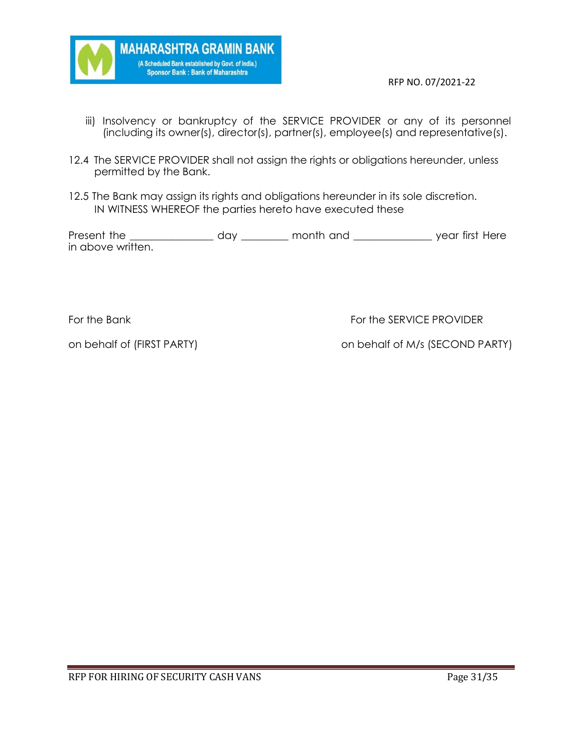

- iii) Insolvency or bankruptcy of the SERVICE PROVIDER or any of its personnel (including its owner(s), director(s), partner(s), employee(s) and representative(s).
- 12.4 The SERVICE PROVIDER shall not assign the rights or obligations hereunder, unless permitted by the Bank.
- 12.5 The Bank may assign its rights and obligations hereunder in its sole discretion. IN WITNESS WHEREOF the parties hereto have executed these

Present the \_\_\_\_\_\_\_\_\_\_\_\_\_\_\_\_\_\_\_\_\_ day \_\_\_\_\_\_\_\_\_\_\_ month and \_\_\_\_\_\_\_\_\_\_\_\_\_\_\_\_\_\_\_\_ year first Here in above written.

For the Bank For the SERVICE PROVIDER

on behalf of (FIRST PARTY) on behalf of M/s (SECOND PARTY)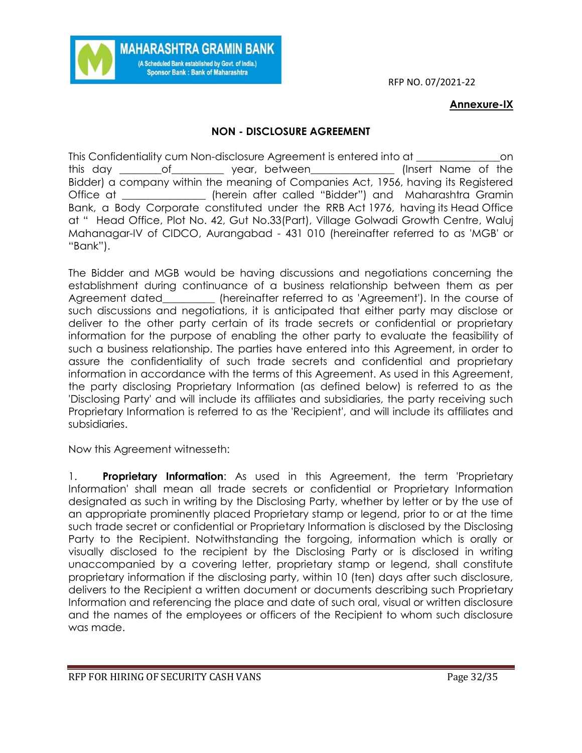# **Annexure-IX**

# **NON - DISCLOSURE AGREEMENT**

**MAHARASHTRA GRAMIN BANK** (A Scheduled Bank established by Govt. of India.) Sponsor Bank: Bank of Maharashtra

This Confidentiality cum Non-disclosure Agreement is entered into at \_\_\_\_\_\_\_\_\_\_\_\_\_\_\_\_on this day \_\_\_\_\_\_\_\_of\_\_\_\_\_\_\_\_\_\_ year, between\_\_\_\_\_\_\_\_\_\_\_\_\_\_\_\_ (Insert Name of the Bidder) a company within the meaning of Companies Act, 1956, having its Registered Office at \_\_\_\_\_\_\_\_\_\_\_\_\_\_\_\_ (herein after called "Bidder") and Maharashtra Gramin Bank, a Body Corporate constituted under the RRB Act 1976, having its Head Office at " Head Office, Plot No. 42, Gut No.33(Part), Village Golwadi Growth Centre, Waluj Mahanagar-IV of CIDCO, Aurangabad - 431 010 (hereinafter referred to as 'MGB' or "Bank").

The Bidder and MGB would be having discussions and negotiations concerning the establishment during continuance of a business relationship between them as per Agreement dated\_\_\_\_\_\_\_\_\_\_ (hereinafter referred to as 'Agreement'). In the course of such discussions and negotiations, it is anticipated that either party may disclose or deliver to the other party certain of its trade secrets or confidential or proprietary information for the purpose of enabling the other party to evaluate the feasibility of such a business relationship. The parties have entered into this Agreement, in order to assure the confidentiality of such trade secrets and confidential and proprietary information in accordance with the terms of this Agreement. As used in this Agreement, the party disclosing Proprietary Information (as defined below) is referred to as the 'Disclosing Party' and will include its affiliates and subsidiaries, the party receiving such Proprietary Information is referred to as the 'Recipient', and will include its affiliates and subsidiaries.

Now this Agreement witnesseth:

1. **Proprietary Information**: As used in this Agreement, the term 'Proprietary Information' shall mean all trade secrets or confidential or Proprietary Information designated as such in writing by the Disclosing Party, whether by letter or by the use of an appropriate prominently placed Proprietary stamp or legend, prior to or at the time such trade secret or confidential or Proprietary Information is disclosed by the Disclosing Party to the Recipient. Notwithstanding the forgoing, information which is orally or visually disclosed to the recipient by the Disclosing Party or is disclosed in writing unaccompanied by a covering letter, proprietary stamp or legend, shall constitute proprietary information if the disclosing party, within 10 (ten) days after such disclosure, delivers to the Recipient a written document or documents describing such Proprietary Information and referencing the place and date of such oral, visual or written disclosure and the names of the employees or officers of the Recipient to whom such disclosure was made.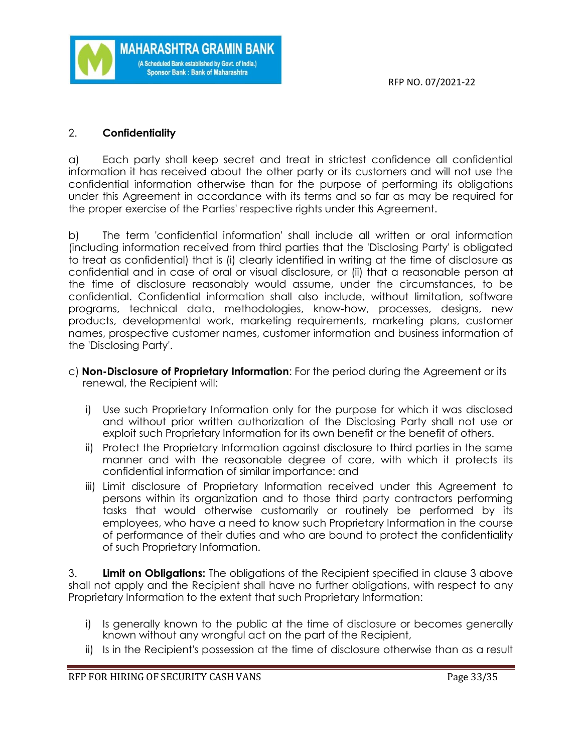

# 2. **Confidentiality**

a) Each party shall keep secret and treat in strictest confidence all confidential information it has received about the other party or its customers and will not use the confidential information otherwise than for the purpose of performing its obligations under this Agreement in accordance with its terms and so far as may be required for the proper exercise of the Parties' respective rights under this Agreement.

b) The term 'confidential information' shall include all written or oral information (including information received from third parties that the 'Disclosing Party' is obligated to treat as confidential) that is (i) clearly identified in writing at the time of disclosure as confidential and in case of oral or visual disclosure, or (ii) that a reasonable person at the time of disclosure reasonably would assume, under the circumstances, to be confidential. Confidential information shall also include, without limitation, software programs, technical data, methodologies, know-how, processes, designs, new products, developmental work, marketing requirements, marketing plans, customer names, prospective customer names, customer information and business information of the 'Disclosing Party'.

- c) **Non-Disclosure of Proprietary Information**: For the period during the Agreement or its renewal, the Recipient will:
	- i) Use such Proprietary Information only for the purpose for which it was disclosed and without prior written authorization of the Disclosing Party shall not use or exploit such Proprietary Information for its own benefit or the benefit of others.
	- ii) Protect the Proprietary Information against disclosure to third parties in the same manner and with the reasonable degree of care, with which it protects its confidential information of similar importance: and
	- iii) Limit disclosure of Proprietary Information received under this Agreement to persons within its organization and to those third party contractors performing tasks that would otherwise customarily or routinely be performed by its employees, who have a need to know such Proprietary Information in the course of performance of their duties and who are bound to protect the confidentiality of such Proprietary Information.

3. **Limit on Obligations:** The obligations of the Recipient specified in clause 3 above shall not apply and the Recipient shall have no further obligations, with respect to any Proprietary Information to the extent that such Proprietary Information:

- i) Is generally known to the public at the time of disclosure or becomes generally known without any wrongful act on the part of the Recipient,
- ii) Is in the Recipient's possession at the time of disclosure otherwise than as a result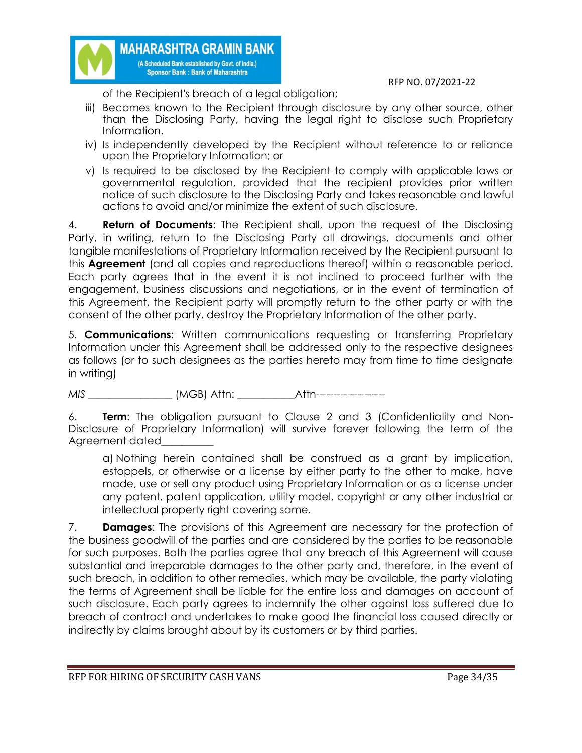

of the Recipient's breach of a legal obligation;

**MAHARASHTRA GRAMIN BANK** (A Scheduled Bank established by Govt. of India.) **Sponsor Bank: Bank of Maharashtra** 

- iii) Becomes known to the Recipient through disclosure by any other source, other than the Disclosing Party, having the legal right to disclose such Proprietary Information.
- iv) Is independently developed by the Recipient without reference to or reliance upon the Proprietary Information; or
- v) Is required to be disclosed by the Recipient to comply with applicable laws or governmental regulation, provided that the recipient provides prior written notice of such disclosure to the Disclosing Party and takes reasonable and lawful actions to avoid and/or minimize the extent of such disclosure.

4. **Return of Documents**: The Recipient shall, upon the request of the Disclosing Party, in writing, return to the Disclosing Party all drawings, documents and other tangible manifestations of Proprietary Information received by the Recipient pursuant to this **Agreement** (and all copies and reproductions thereof) within a reasonable period. Each party agrees that in the event it is not inclined to proceed further with the engagement, business discussions and negotiations, or in the event of termination of this Agreement, the Recipient party will promptly return to the other party or with the consent of the other party, destroy the Proprietary Information of the other party.

5. **Communications:** Written communications requesting or transferring Proprietary Information under this Agreement shall be addressed only to the respective designees as follows (or to such designees as the parties hereto may from time to time designate in writing)

*MIS \_\_\_\_\_\_\_\_\_\_\_\_\_\_\_\_* (MGB) Attn: \_\_\_\_\_\_\_\_\_\_\_Attn--------------------

6. **Term**: The obligation pursuant to Clause 2 and 3 (Confidentiality and Non-Disclosure of Proprietary Information) will survive forever following the term of the Agreement dated\_

a) Nothing herein contained shall be construed as a grant by implication, estoppels, or otherwise or a license by either party to the other to make, have made, use or sell any product using Proprietary Information or as a license under any patent, patent application, utility model, copyright or any other industrial or intellectual property right covering same.

7. **Damages**: The provisions of this Agreement are necessary for the protection of the business goodwill of the parties and are considered by the parties to be reasonable for such purposes. Both the parties agree that any breach of this Agreement will cause substantial and irreparable damages to the other party and, therefore, in the event of such breach, in addition to other remedies, which may be available, the party violating the terms of Agreement shall be liable for the entire loss and damages on account of such disclosure. Each party agrees to indemnify the other against loss suffered due to breach of contract and undertakes to make good the financial loss caused directly or indirectly by claims brought about by its customers or by third parties.